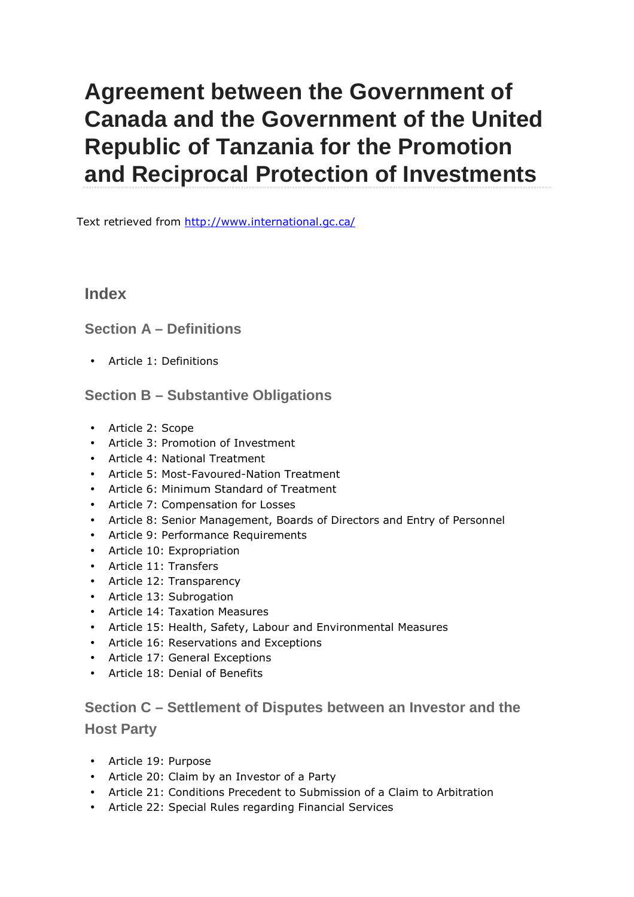# **Agreement between the Government of Canada and the Government of the United Republic of Tanzania for the Promotion and Reciprocal Protection of Investments**

Text retrieved from http://www.international.gc.ca/

**Index** 

### **Section A – Definitions**

• Article 1: Definitions

#### **Section B – Substantive Obligations**

- Article 2: Scope
- Article 3: Promotion of Investment
- Article 4: National Treatment
- Article 5: Most-Favoured-Nation Treatment
- Article 6: Minimum Standard of Treatment
- Article 7: Compensation for Losses
- Article 8: Senior Management, Boards of Directors and Entry of Personnel
- Article 9: Performance Requirements
- Article 10: Expropriation
- Article 11: Transfers
- Article 12: Transparency
- Article 13: Subrogation
- Article 14: Taxation Measures
- Article 15: Health, Safety, Labour and Environmental Measures
- Article 16: Reservations and Exceptions
- Article 17: General Exceptions
- Article 18: Denial of Benefits

# **Section C – Settlement of Disputes between an Investor and the Host Party**

- Article 19: Purpose
- Article 20: Claim by an Investor of a Party
- Article 21: Conditions Precedent to Submission of a Claim to Arbitration
- Article 22: Special Rules regarding Financial Services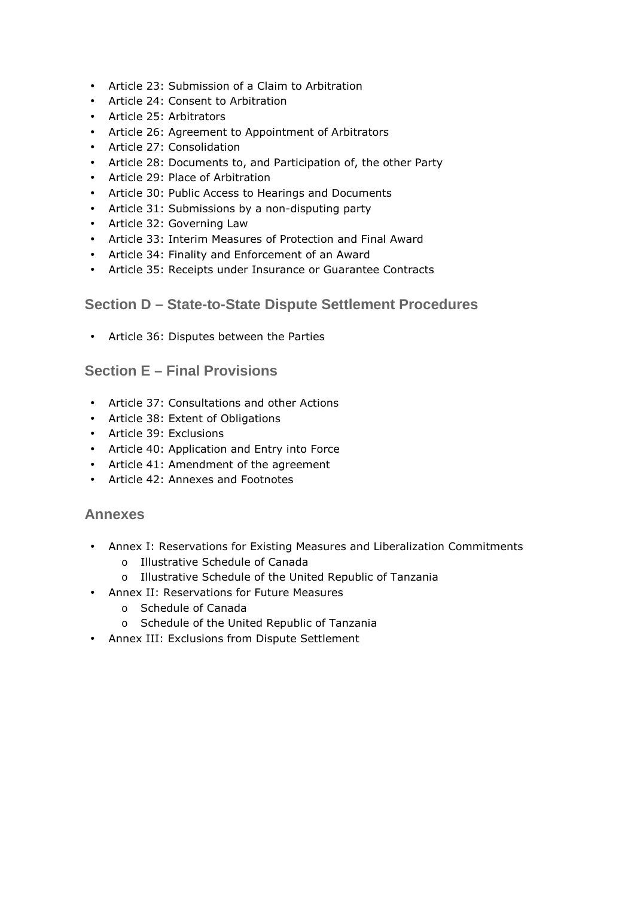- Article 23: Submission of a Claim to Arbitration
- Article 24: Consent to Arbitration
- Article 25: Arbitrators
- Article 26: Agreement to Appointment of Arbitrators
- Article 27: Consolidation
- Article 28: Documents to, and Participation of, the other Party
- Article 29: Place of Arbitration
- Article 30: Public Access to Hearings and Documents
- Article 31: Submissions by a non-disputing party
- Article 32: Governing Law
- Article 33: Interim Measures of Protection and Final Award
- Article 34: Finality and Enforcement of an Award
- Article 35: Receipts under Insurance or Guarantee Contracts

#### **Section D – State-to-State Dispute Settlement Procedures**

• Article 36: Disputes between the Parties

#### **Section E – Final Provisions**

- Article 37: Consultations and other Actions
- Article 38: Extent of Obligations
- Article 39: Exclusions
- Article 40: Application and Entry into Force
- Article 41: Amendment of the agreement
- Article 42: Annexes and Footnotes

#### **Annexes**

- Annex I: Reservations for Existing Measures and Liberalization Commitments
	- o Illustrative Schedule of Canada
	- o Illustrative Schedule of the United Republic of Tanzania
- Annex II: Reservations for Future Measures
	- o Schedule of Canada
	- o Schedule of the United Republic of Tanzania
- Annex III: Exclusions from Dispute Settlement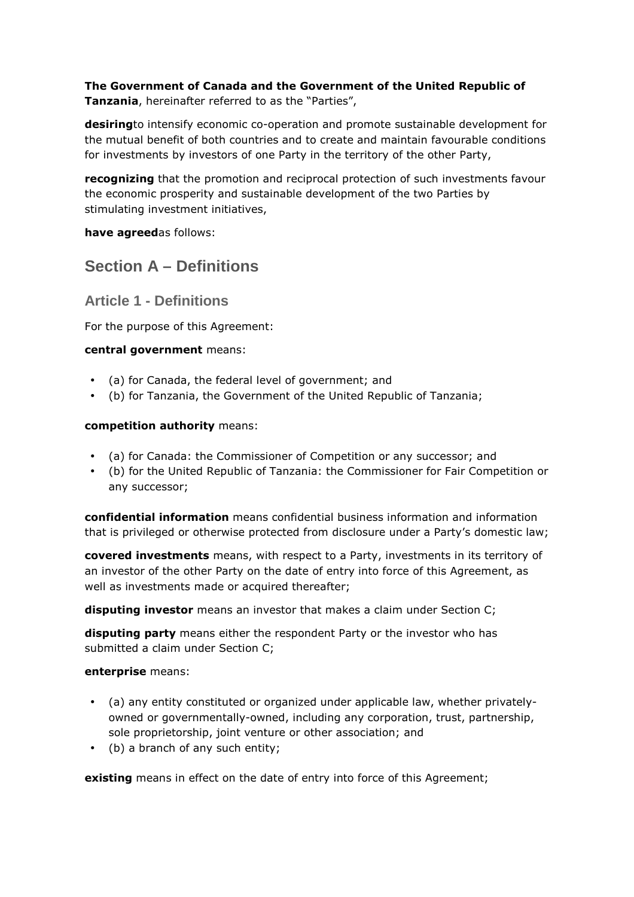#### **The Government of Canada and the Government of the United Republic of Tanzania**, hereinafter referred to as the "Parties",

**desiring**to intensify economic co-operation and promote sustainable development for the mutual benefit of both countries and to create and maintain favourable conditions for investments by investors of one Party in the territory of the other Party,

**recognizing** that the promotion and reciprocal protection of such investments favour the economic prosperity and sustainable development of the two Parties by stimulating investment initiatives,

**have agreed**as follows:

### **Section A – Definitions**

#### **Article 1 - Definitions**

For the purpose of this Agreement:

#### **central government** means:

- (a) for Canada, the federal level of government; and
- (b) for Tanzania, the Government of the United Republic of Tanzania;

#### **competition authority** means:

- (a) for Canada: the Commissioner of Competition or any successor; and
- (b) for the United Republic of Tanzania: the Commissioner for Fair Competition or any successor;

**confidential information** means confidential business information and information that is privileged or otherwise protected from disclosure under a Party's domestic law;

**covered investments** means, with respect to a Party, investments in its territory of an investor of the other Party on the date of entry into force of this Agreement, as well as investments made or acquired thereafter;

**disputing investor** means an investor that makes a claim under Section C;

**disputing party** means either the respondent Party or the investor who has submitted a claim under Section C;

#### **enterprise** means:

- (a) any entity constituted or organized under applicable law, whether privatelyowned or governmentally-owned, including any corporation, trust, partnership, sole proprietorship, joint venture or other association; and
- (b) a branch of any such entity;

**existing** means in effect on the date of entry into force of this Agreement;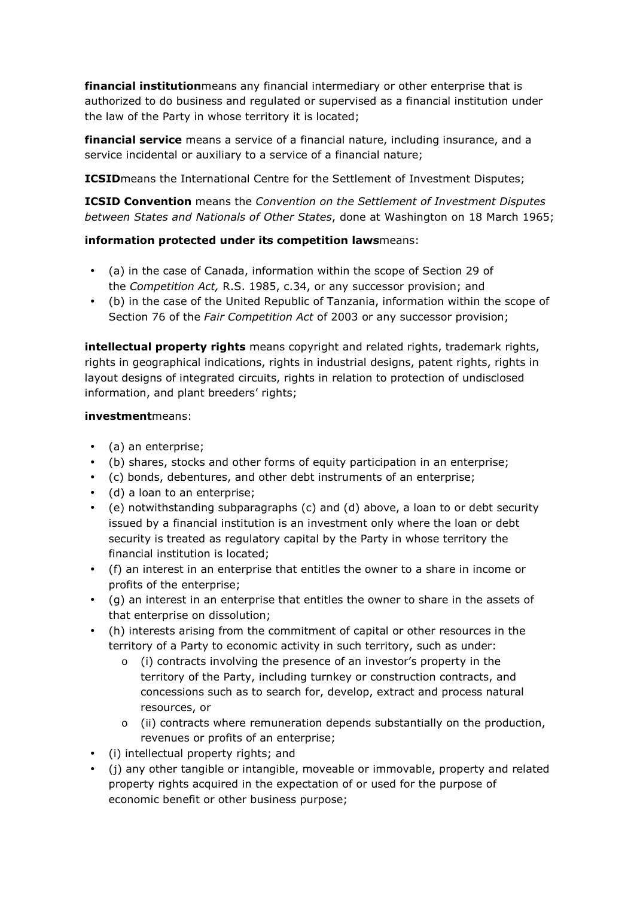**financial institution**means any financial intermediary or other enterprise that is authorized to do business and regulated or supervised as a financial institution under the law of the Party in whose territory it is located;

**financial service** means a service of a financial nature, including insurance, and a service incidental or auxiliary to a service of a financial nature;

**ICSID**means the International Centre for the Settlement of Investment Disputes;

**ICSID Convention** means the *Convention on the Settlement of Investment Disputes between States and Nationals of Other States*, done at Washington on 18 March 1965;

#### **information protected under its competition laws**means:

- (a) in the case of Canada, information within the scope of Section 29 of the *Competition Act,* R.S. 1985, c.34, or any successor provision; and
- (b) in the case of the United Republic of Tanzania, information within the scope of Section 76 of the *Fair Competition Act* of 2003 or any successor provision;

**intellectual property rights** means copyright and related rights, trademark rights, rights in geographical indications, rights in industrial designs, patent rights, rights in layout designs of integrated circuits, rights in relation to protection of undisclosed information, and plant breeders' rights;

#### **investment**means:

- (a) an enterprise;
- (b) shares, stocks and other forms of equity participation in an enterprise;
- (c) bonds, debentures, and other debt instruments of an enterprise;
- (d) a loan to an enterprise;
- (e) notwithstanding subparagraphs (c) and (d) above, a loan to or debt security issued by a financial institution is an investment only where the loan or debt security is treated as regulatory capital by the Party in whose territory the financial institution is located;
- (f) an interest in an enterprise that entitles the owner to a share in income or profits of the enterprise;
- (g) an interest in an enterprise that entitles the owner to share in the assets of that enterprise on dissolution;
- (h) interests arising from the commitment of capital or other resources in the territory of a Party to economic activity in such territory, such as under:
	- o (i) contracts involving the presence of an investor's property in the territory of the Party, including turnkey or construction contracts, and concessions such as to search for, develop, extract and process natural resources, or
	- $\circ$  (ii) contracts where remuneration depends substantially on the production, revenues or profits of an enterprise;
- (i) intellectual property rights; and
- (j) any other tangible or intangible, moveable or immovable, property and related property rights acquired in the expectation of or used for the purpose of economic benefit or other business purpose;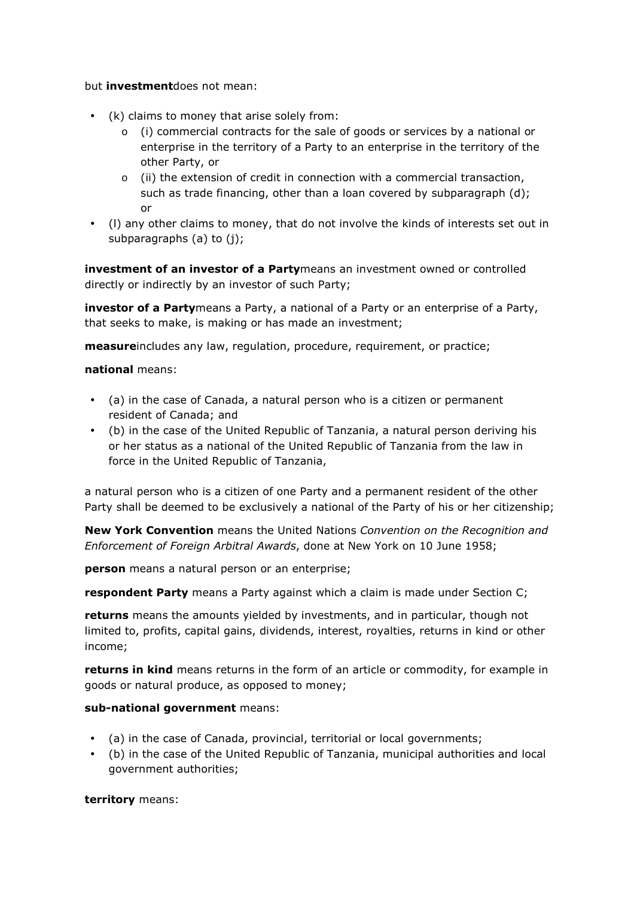#### but **investment**does not mean:

- (k) claims to money that arise solely from:
	- o (i) commercial contracts for the sale of goods or services by a national or enterprise in the territory of a Party to an enterprise in the territory of the other Party, or
	- $\circ$  (ii) the extension of credit in connection with a commercial transaction, such as trade financing, other than a loan covered by subparagraph (d); or
- (l) any other claims to money, that do not involve the kinds of interests set out in subparagraphs (a) to (j);

**investment of an investor of a Party**means an investment owned or controlled directly or indirectly by an investor of such Party;

**investor of a Party**means a Party, a national of a Party or an enterprise of a Party, that seeks to make, is making or has made an investment;

**measure**includes any law, regulation, procedure, requirement, or practice;

#### **national** means:

- (a) in the case of Canada, a natural person who is a citizen or permanent resident of Canada; and
- (b) in the case of the United Republic of Tanzania, a natural person deriving his or her status as a national of the United Republic of Tanzania from the law in force in the United Republic of Tanzania,

a natural person who is a citizen of one Party and a permanent resident of the other Party shall be deemed to be exclusively a national of the Party of his or her citizenship;

**New York Convention** means the United Nations *Convention on the Recognition and Enforcement of Foreign Arbitral Awards*, done at New York on 10 June 1958;

**person** means a natural person or an enterprise;

**respondent Party** means a Party against which a claim is made under Section C;

**returns** means the amounts yielded by investments, and in particular, though not limited to, profits, capital gains, dividends, interest, royalties, returns in kind or other income;

**returns in kind** means returns in the form of an article or commodity, for example in goods or natural produce, as opposed to money;

#### **sub-national government** means:

- (a) in the case of Canada, provincial, territorial or local governments;
- (b) in the case of the United Republic of Tanzania, municipal authorities and local government authorities;

#### **territory** means: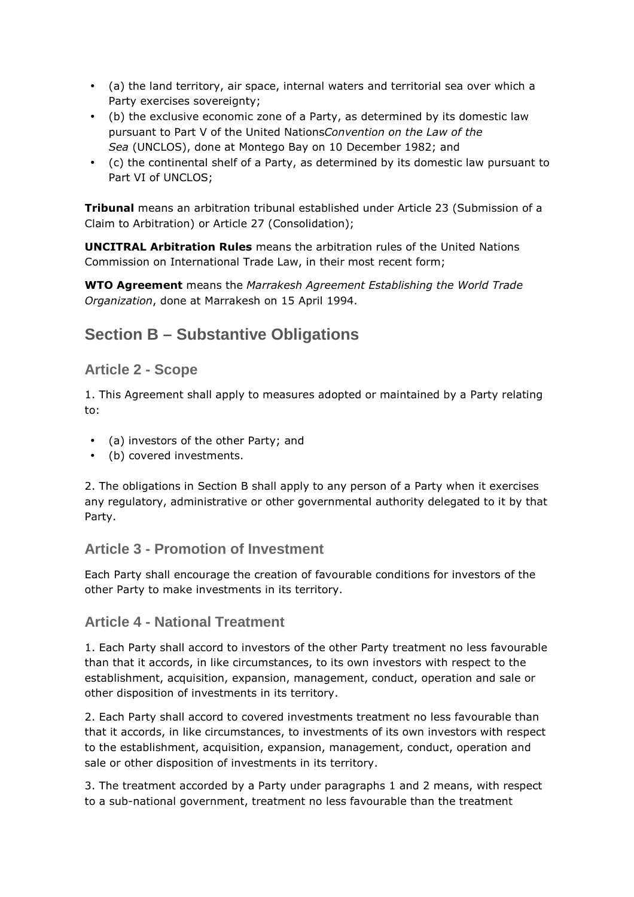- (a) the land territory, air space, internal waters and territorial sea over which a Party exercises sovereignty;
- (b) the exclusive economic zone of a Party, as determined by its domestic law pursuant to Part V of the United Nations*Convention on the Law of the Sea* (UNCLOS), done at Montego Bay on 10 December 1982; and
- (c) the continental shelf of a Party, as determined by its domestic law pursuant to Part VI of UNCLOS;

**Tribunal** means an arbitration tribunal established under Article 23 (Submission of a Claim to Arbitration) or Article 27 (Consolidation);

**UNCITRAL Arbitration Rules** means the arbitration rules of the United Nations Commission on International Trade Law, in their most recent form;

**WTO Agreement** means the *Marrakesh Agreement Establishing the World Trade Organization*, done at Marrakesh on 15 April 1994.

# **Section B – Substantive Obligations**

#### **Article 2 - Scope**

1. This Agreement shall apply to measures adopted or maintained by a Party relating to:

- (a) investors of the other Party; and
- (b) covered investments.

2. The obligations in Section B shall apply to any person of a Party when it exercises any regulatory, administrative or other governmental authority delegated to it by that Party.

#### **Article 3 - Promotion of Investment**

Each Party shall encourage the creation of favourable conditions for investors of the other Party to make investments in its territory.

#### **Article 4 - National Treatment**

1. Each Party shall accord to investors of the other Party treatment no less favourable than that it accords, in like circumstances, to its own investors with respect to the establishment, acquisition, expansion, management, conduct, operation and sale or other disposition of investments in its territory.

2. Each Party shall accord to covered investments treatment no less favourable than that it accords, in like circumstances, to investments of its own investors with respect to the establishment, acquisition, expansion, management, conduct, operation and sale or other disposition of investments in its territory.

3. The treatment accorded by a Party under paragraphs 1 and 2 means, with respect to a sub-national government, treatment no less favourable than the treatment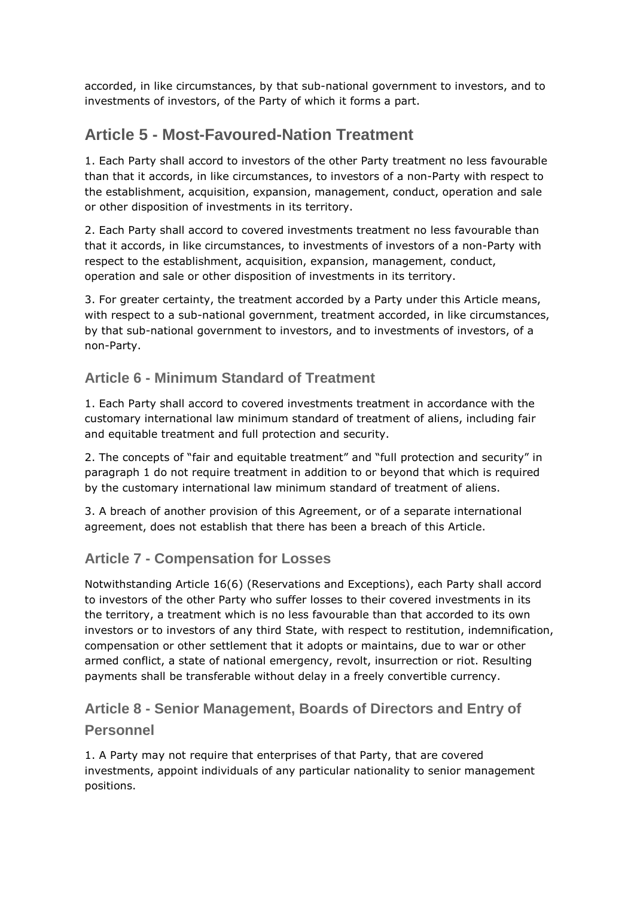accorded, in like circumstances, by that sub-national government to investors, and to investments of investors, of the Party of which it forms a part.

# **Article 5 - Most-Favoured-Nation Treatment**

1. Each Party shall accord to investors of the other Party treatment no less favourable than that it accords, in like circumstances, to investors of a non-Party with respect to the establishment, acquisition, expansion, management, conduct, operation and sale or other disposition of investments in its territory.

2. Each Party shall accord to covered investments treatment no less favourable than that it accords, in like circumstances, to investments of investors of a non-Party with respect to the establishment, acquisition, expansion, management, conduct, operation and sale or other disposition of investments in its territory.

3. For greater certainty, the treatment accorded by a Party under this Article means, with respect to a sub-national government, treatment accorded, in like circumstances, by that sub-national government to investors, and to investments of investors, of a non-Party.

### **Article 6 - Minimum Standard of Treatment**

1. Each Party shall accord to covered investments treatment in accordance with the customary international law minimum standard of treatment of aliens, including fair and equitable treatment and full protection and security.

2. The concepts of "fair and equitable treatment" and "full protection and security" in paragraph 1 do not require treatment in addition to or beyond that which is required by the customary international law minimum standard of treatment of aliens.

3. A breach of another provision of this Agreement, or of a separate international agreement, does not establish that there has been a breach of this Article.

### **Article 7 - Compensation for Losses**

Notwithstanding Article 16(6) (Reservations and Exceptions), each Party shall accord to investors of the other Party who suffer losses to their covered investments in its the territory, a treatment which is no less favourable than that accorded to its own investors or to investors of any third State, with respect to restitution, indemnification, compensation or other settlement that it adopts or maintains, due to war or other armed conflict, a state of national emergency, revolt, insurrection or riot. Resulting payments shall be transferable without delay in a freely convertible currency.

# **Article 8 - Senior Management, Boards of Directors and Entry of Personnel**

1. A Party may not require that enterprises of that Party, that are covered investments, appoint individuals of any particular nationality to senior management positions.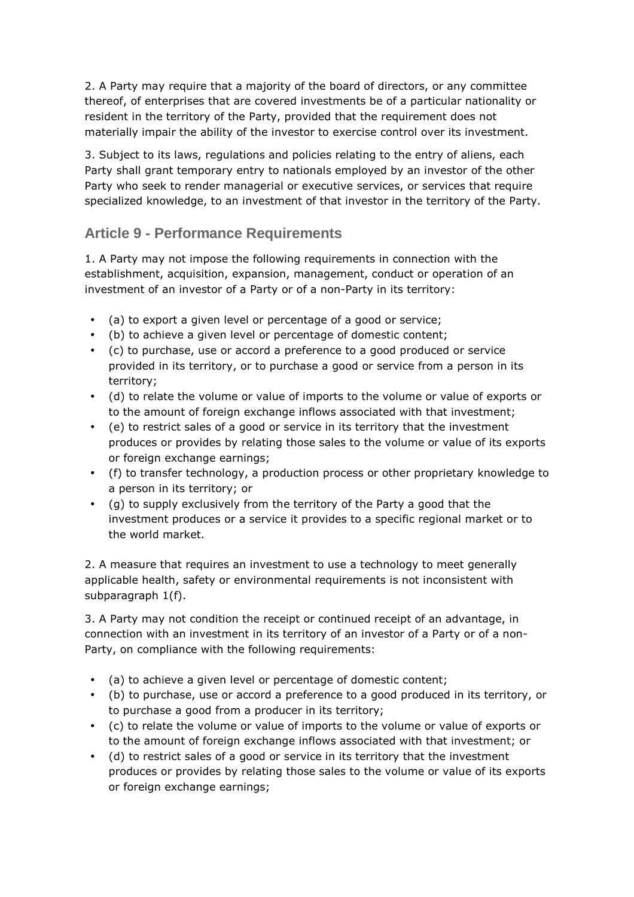2. A Party may require that a majority of the board of directors, or any committee thereof, of enterprises that are covered investments be of a particular nationality or resident in the territory of the Party, provided that the requirement does not materially impair the ability of the investor to exercise control over its investment.

3. Subject to its laws, regulations and policies relating to the entry of aliens, each Party shall grant temporary entry to nationals employed by an investor of the other Party who seek to render managerial or executive services, or services that require specialized knowledge, to an investment of that investor in the territory of the Party.

### **Article 9 - Performance Requirements**

1. A Party may not impose the following requirements in connection with the establishment, acquisition, expansion, management, conduct or operation of an investment of an investor of a Party or of a non-Party in its territory:

- (a) to export a given level or percentage of a good or service;
- (b) to achieve a given level or percentage of domestic content;
- (c) to purchase, use or accord a preference to a good produced or service provided in its territory, or to purchase a good or service from a person in its territory;
- (d) to relate the volume or value of imports to the volume or value of exports or to the amount of foreign exchange inflows associated with that investment;
- (e) to restrict sales of a good or service in its territory that the investment produces or provides by relating those sales to the volume or value of its exports or foreign exchange earnings;
- (f) to transfer technology, a production process or other proprietary knowledge to a person in its territory; or
- (g) to supply exclusively from the territory of the Party a good that the investment produces or a service it provides to a specific regional market or to the world market.

2. A measure that requires an investment to use a technology to meet generally applicable health, safety or environmental requirements is not inconsistent with subparagraph 1(f).

3. A Party may not condition the receipt or continued receipt of an advantage, in connection with an investment in its territory of an investor of a Party or of a non-Party, on compliance with the following requirements:

- (a) to achieve a given level or percentage of domestic content;
- (b) to purchase, use or accord a preference to a good produced in its territory, or to purchase a good from a producer in its territory;
- (c) to relate the volume or value of imports to the volume or value of exports or to the amount of foreign exchange inflows associated with that investment; or
- (d) to restrict sales of a good or service in its territory that the investment produces or provides by relating those sales to the volume or value of its exports or foreign exchange earnings;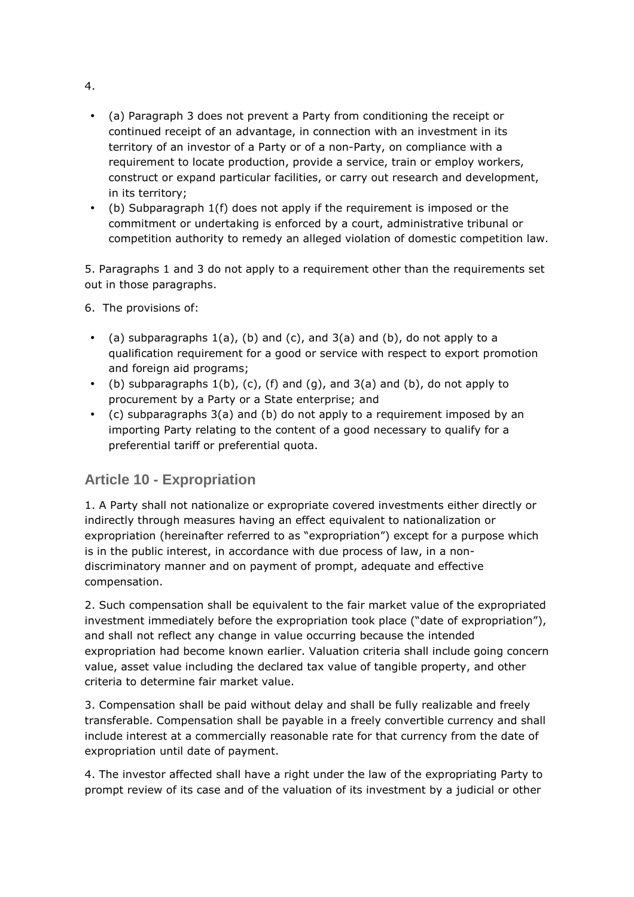- (a) Paragraph 3 does not prevent a Party from conditioning the receipt or continued receipt of an advantage, in connection with an investment in its territory of an investor of a Party or of a non-Party, on compliance with a requirement to locate production, provide a service, train or employ workers, construct or expand particular facilities, or carry out research and development, in its territory;
- (b) Subparagraph 1(f) does not apply if the requirement is imposed or the commitment or undertaking is enforced by a court, administrative tribunal or competition authority to remedy an alleged violation of domestic competition law.

5. Paragraphs 1 and 3 do not apply to a requirement other than the requirements set out in those paragraphs.

- 6. The provisions of:
- (a) subparagraphs  $1(a)$ , (b) and (c), and  $3(a)$  and (b), do not apply to a qualification requirement for a good or service with respect to export promotion and foreign aid programs;
- (b) subparagraphs  $1(b)$ , (c), (f) and (g), and  $3(a)$  and (b), do not apply to procurement by a Party or a State enterprise; and
- (c) subparagraphs 3(a) and (b) do not apply to a requirement imposed by an importing Party relating to the content of a good necessary to qualify for a preferential tariff or preferential quota.

### **Article 10 - Expropriation**

1. A Party shall not nationalize or expropriate covered investments either directly or indirectly through measures having an effect equivalent to nationalization or expropriation (hereinafter referred to as "expropriation") except for a purpose which is in the public interest, in accordance with due process of law, in a nondiscriminatory manner and on payment of prompt, adequate and effective compensation.

2. Such compensation shall be equivalent to the fair market value of the expropriated investment immediately before the expropriation took place ("date of expropriation"), and shall not reflect any change in value occurring because the intended expropriation had become known earlier. Valuation criteria shall include going concern value, asset value including the declared tax value of tangible property, and other criteria to determine fair market value.

3. Compensation shall be paid without delay and shall be fully realizable and freely transferable. Compensation shall be payable in a freely convertible currency and shall include interest at a commercially reasonable rate for that currency from the date of expropriation until date of payment.

4. The investor affected shall have a right under the law of the expropriating Party to prompt review of its case and of the valuation of its investment by a judicial or other

4.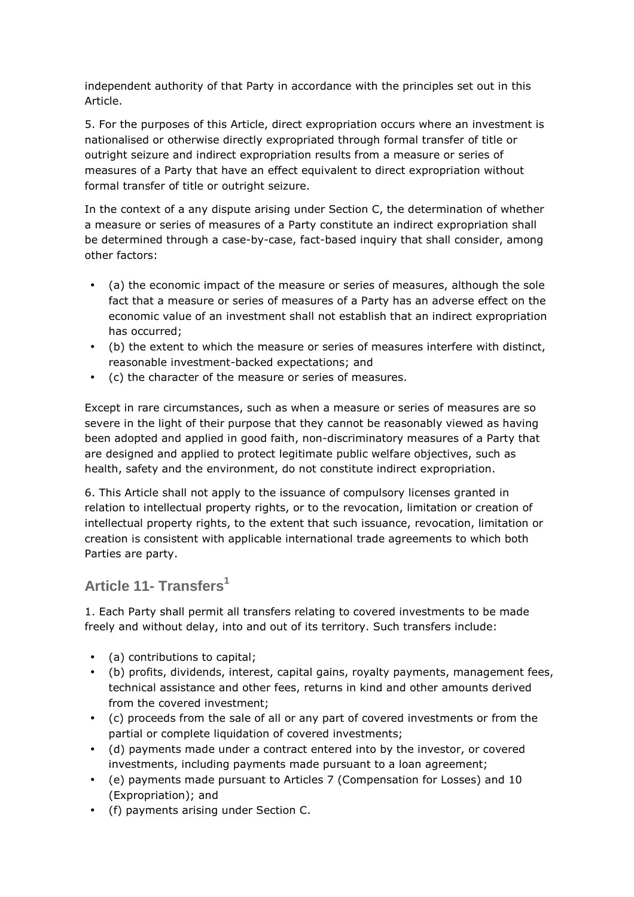independent authority of that Party in accordance with the principles set out in this Article.

5. For the purposes of this Article, direct expropriation occurs where an investment is nationalised or otherwise directly expropriated through formal transfer of title or outright seizure and indirect expropriation results from a measure or series of measures of a Party that have an effect equivalent to direct expropriation without formal transfer of title or outright seizure.

In the context of a any dispute arising under Section C, the determination of whether a measure or series of measures of a Party constitute an indirect expropriation shall be determined through a case-by-case, fact-based inquiry that shall consider, among other factors:

- (a) the economic impact of the measure or series of measures, although the sole fact that a measure or series of measures of a Party has an adverse effect on the economic value of an investment shall not establish that an indirect expropriation has occurred;
- (b) the extent to which the measure or series of measures interfere with distinct, reasonable investment-backed expectations; and
- (c) the character of the measure or series of measures.

Except in rare circumstances, such as when a measure or series of measures are so severe in the light of their purpose that they cannot be reasonably viewed as having been adopted and applied in good faith, non-discriminatory measures of a Party that are designed and applied to protect legitimate public welfare objectives, such as health, safety and the environment, do not constitute indirect expropriation.

6. This Article shall not apply to the issuance of compulsory licenses granted in relation to intellectual property rights, or to the revocation, limitation or creation of intellectual property rights, to the extent that such issuance, revocation, limitation or creation is consistent with applicable international trade agreements to which both Parties are party.

#### **Article 11- Transfers<sup>1</sup>**

1. Each Party shall permit all transfers relating to covered investments to be made freely and without delay, into and out of its territory. Such transfers include:

- (a) contributions to capital;
- (b) profits, dividends, interest, capital gains, royalty payments, management fees, technical assistance and other fees, returns in kind and other amounts derived from the covered investment;
- (c) proceeds from the sale of all or any part of covered investments or from the partial or complete liquidation of covered investments;
- (d) payments made under a contract entered into by the investor, or covered investments, including payments made pursuant to a loan agreement;
- (e) payments made pursuant to Articles 7 (Compensation for Losses) and 10 (Expropriation); and
- (f) payments arising under Section C.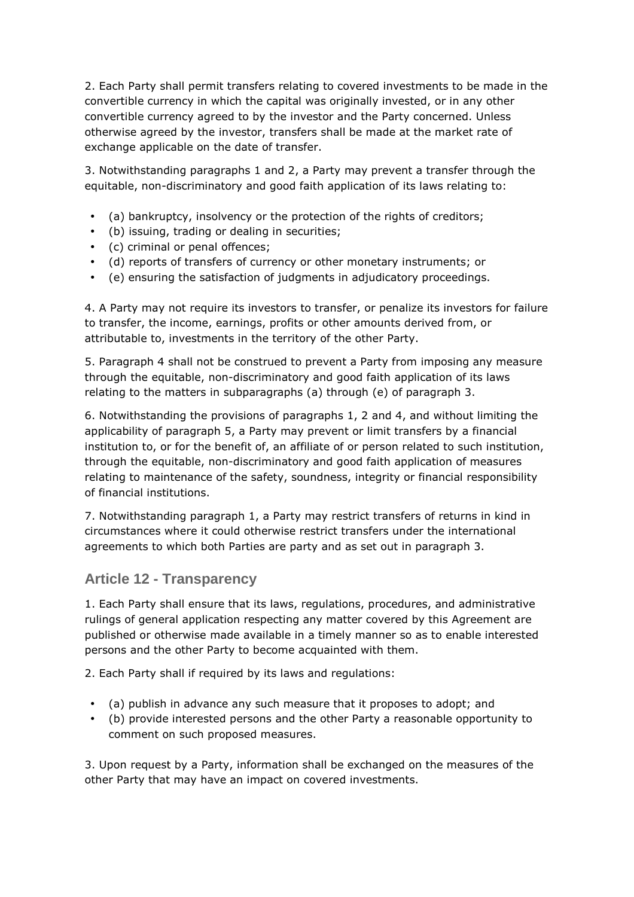2. Each Party shall permit transfers relating to covered investments to be made in the convertible currency in which the capital was originally invested, or in any other convertible currency agreed to by the investor and the Party concerned. Unless otherwise agreed by the investor, transfers shall be made at the market rate of exchange applicable on the date of transfer.

3. Notwithstanding paragraphs 1 and 2, a Party may prevent a transfer through the equitable, non-discriminatory and good faith application of its laws relating to:

- (a) bankruptcy, insolvency or the protection of the rights of creditors;
- (b) issuing, trading or dealing in securities;
- (c) criminal or penal offences;
- (d) reports of transfers of currency or other monetary instruments; or
- (e) ensuring the satisfaction of judgments in adjudicatory proceedings.

4. A Party may not require its investors to transfer, or penalize its investors for failure to transfer, the income, earnings, profits or other amounts derived from, or attributable to, investments in the territory of the other Party.

5. Paragraph 4 shall not be construed to prevent a Party from imposing any measure through the equitable, non-discriminatory and good faith application of its laws relating to the matters in subparagraphs (a) through (e) of paragraph 3.

6. Notwithstanding the provisions of paragraphs 1, 2 and 4, and without limiting the applicability of paragraph 5, a Party may prevent or limit transfers by a financial institution to, or for the benefit of, an affiliate of or person related to such institution, through the equitable, non-discriminatory and good faith application of measures relating to maintenance of the safety, soundness, integrity or financial responsibility of financial institutions.

7. Notwithstanding paragraph 1, a Party may restrict transfers of returns in kind in circumstances where it could otherwise restrict transfers under the international agreements to which both Parties are party and as set out in paragraph 3.

#### **Article 12 - Transparency**

1. Each Party shall ensure that its laws, regulations, procedures, and administrative rulings of general application respecting any matter covered by this Agreement are published or otherwise made available in a timely manner so as to enable interested persons and the other Party to become acquainted with them.

2. Each Party shall if required by its laws and regulations:

- (a) publish in advance any such measure that it proposes to adopt; and
- (b) provide interested persons and the other Party a reasonable opportunity to comment on such proposed measures.

3. Upon request by a Party, information shall be exchanged on the measures of the other Party that may have an impact on covered investments.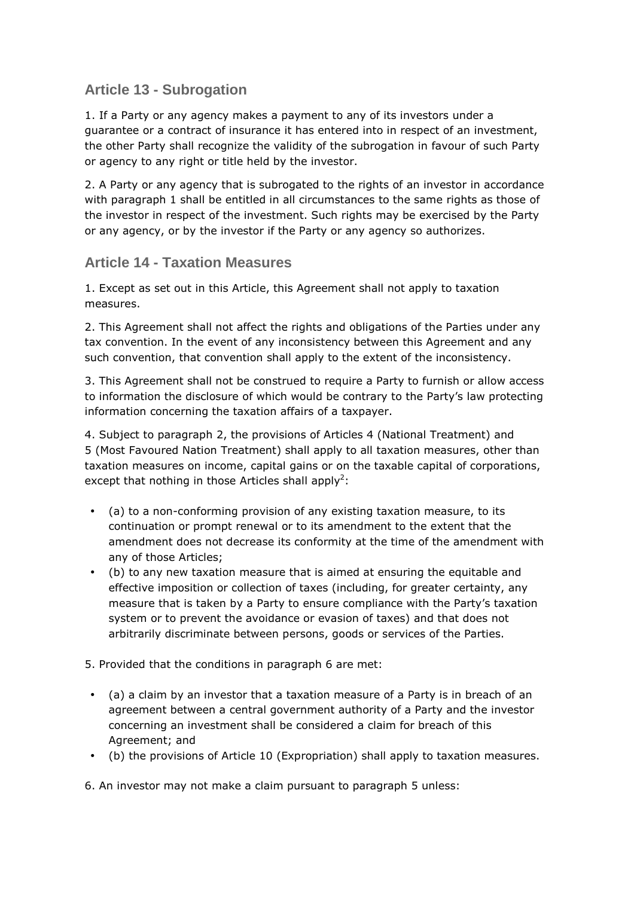#### **Article 13 - Subrogation**

1. If a Party or any agency makes a payment to any of its investors under a guarantee or a contract of insurance it has entered into in respect of an investment, the other Party shall recognize the validity of the subrogation in favour of such Party or agency to any right or title held by the investor.

2. A Party or any agency that is subrogated to the rights of an investor in accordance with paragraph 1 shall be entitled in all circumstances to the same rights as those of the investor in respect of the investment. Such rights may be exercised by the Party or any agency, or by the investor if the Party or any agency so authorizes.

#### **Article 14 - Taxation Measures**

1. Except as set out in this Article, this Agreement shall not apply to taxation measures.

2. This Agreement shall not affect the rights and obligations of the Parties under any tax convention. In the event of any inconsistency between this Agreement and any such convention, that convention shall apply to the extent of the inconsistency.

3. This Agreement shall not be construed to require a Party to furnish or allow access to information the disclosure of which would be contrary to the Party's law protecting information concerning the taxation affairs of a taxpayer.

4. Subject to paragraph 2, the provisions of Articles 4 (National Treatment) and 5 (Most Favoured Nation Treatment) shall apply to all taxation measures, other than taxation measures on income, capital gains or on the taxable capital of corporations, except that nothing in those Articles shall apply<sup>2</sup>:

- (a) to a non-conforming provision of any existing taxation measure, to its continuation or prompt renewal or to its amendment to the extent that the amendment does not decrease its conformity at the time of the amendment with any of those Articles;
- (b) to any new taxation measure that is aimed at ensuring the equitable and effective imposition or collection of taxes (including, for greater certainty, any measure that is taken by a Party to ensure compliance with the Party's taxation system or to prevent the avoidance or evasion of taxes) and that does not arbitrarily discriminate between persons, goods or services of the Parties.
- 5. Provided that the conditions in paragraph 6 are met:
- (a) a claim by an investor that a taxation measure of a Party is in breach of an agreement between a central government authority of a Party and the investor concerning an investment shall be considered a claim for breach of this Agreement; and
- (b) the provisions of Article 10 (Expropriation) shall apply to taxation measures.

6. An investor may not make a claim pursuant to paragraph 5 unless: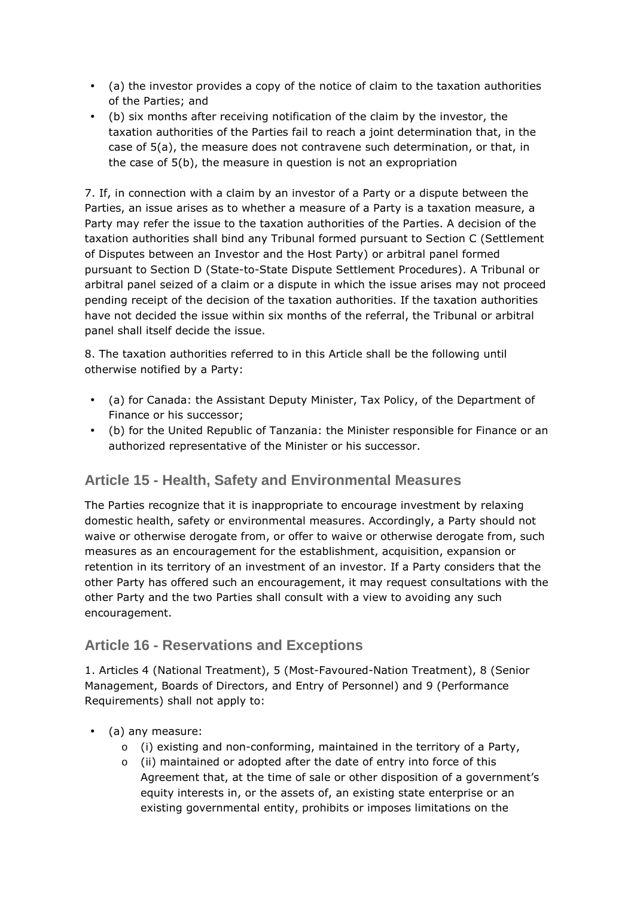- (a) the investor provides a copy of the notice of claim to the taxation authorities of the Parties; and
- (b) six months after receiving notification of the claim by the investor, the taxation authorities of the Parties fail to reach a joint determination that, in the case of 5(a), the measure does not contravene such determination, or that, in the case of 5(b), the measure in question is not an expropriation

7. If, in connection with a claim by an investor of a Party or a dispute between the Parties, an issue arises as to whether a measure of a Party is a taxation measure, a Party may refer the issue to the taxation authorities of the Parties. A decision of the taxation authorities shall bind any Tribunal formed pursuant to Section C (Settlement of Disputes between an Investor and the Host Party) or arbitral panel formed pursuant to Section D (State-to-State Dispute Settlement Procedures). A Tribunal or arbitral panel seized of a claim or a dispute in which the issue arises may not proceed pending receipt of the decision of the taxation authorities. If the taxation authorities have not decided the issue within six months of the referral, the Tribunal or arbitral panel shall itself decide the issue.

8. The taxation authorities referred to in this Article shall be the following until otherwise notified by a Party:

- (a) for Canada: the Assistant Deputy Minister, Tax Policy, of the Department of Finance or his successor;
- (b) for the United Republic of Tanzania: the Minister responsible for Finance or an authorized representative of the Minister or his successor.

### **Article 15 - Health, Safety and Environmental Measures**

The Parties recognize that it is inappropriate to encourage investment by relaxing domestic health, safety or environmental measures. Accordingly, a Party should not waive or otherwise derogate from, or offer to waive or otherwise derogate from, such measures as an encouragement for the establishment, acquisition, expansion or retention in its territory of an investment of an investor. If a Party considers that the other Party has offered such an encouragement, it may request consultations with the other Party and the two Parties shall consult with a view to avoiding any such encouragement.

#### **Article 16 - Reservations and Exceptions**

1. Articles 4 (National Treatment), 5 (Most-Favoured-Nation Treatment), 8 (Senior Management, Boards of Directors, and Entry of Personnel) and 9 (Performance Requirements) shall not apply to:

- (a) any measure:
	- $\circ$  (i) existing and non-conforming, maintained in the territory of a Party,
	- o (ii) maintained or adopted after the date of entry into force of this Agreement that, at the time of sale or other disposition of a government's equity interests in, or the assets of, an existing state enterprise or an existing governmental entity, prohibits or imposes limitations on the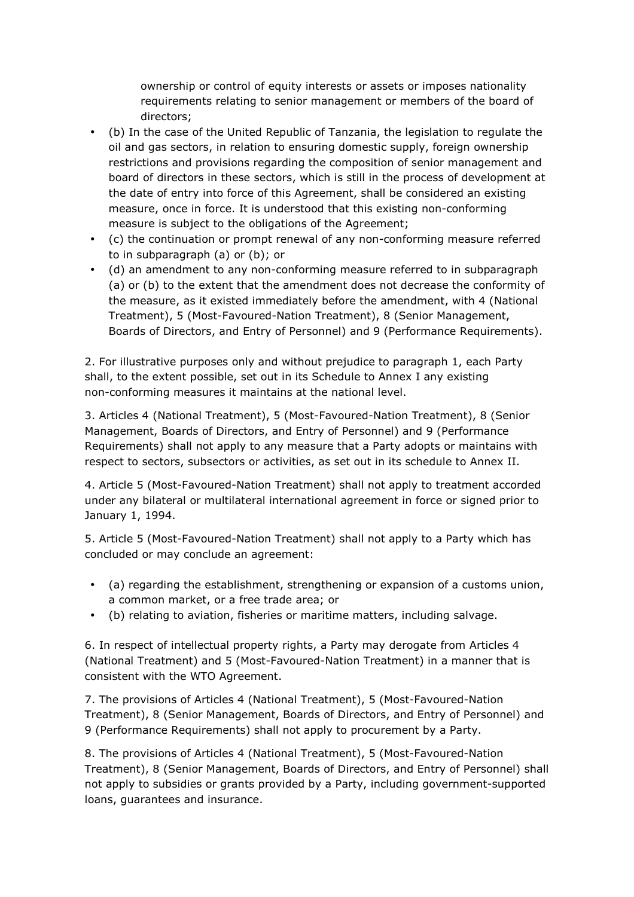ownership or control of equity interests or assets or imposes nationality requirements relating to senior management or members of the board of directors;

- (b) In the case of the United Republic of Tanzania, the legislation to regulate the oil and gas sectors, in relation to ensuring domestic supply, foreign ownership restrictions and provisions regarding the composition of senior management and board of directors in these sectors, which is still in the process of development at the date of entry into force of this Agreement, shall be considered an existing measure, once in force. It is understood that this existing non-conforming measure is subject to the obligations of the Agreement;
- (c) the continuation or prompt renewal of any non-conforming measure referred to in subparagraph (a) or (b); or
- (d) an amendment to any non-conforming measure referred to in subparagraph (a) or (b) to the extent that the amendment does not decrease the conformity of the measure, as it existed immediately before the amendment, with 4 (National Treatment), 5 (Most-Favoured-Nation Treatment), 8 (Senior Management, Boards of Directors, and Entry of Personnel) and 9 (Performance Requirements).

2. For illustrative purposes only and without prejudice to paragraph 1, each Party shall, to the extent possible, set out in its Schedule to Annex I any existing non-conforming measures it maintains at the national level.

3. Articles 4 (National Treatment), 5 (Most-Favoured-Nation Treatment), 8 (Senior Management, Boards of Directors, and Entry of Personnel) and 9 (Performance Requirements) shall not apply to any measure that a Party adopts or maintains with respect to sectors, subsectors or activities, as set out in its schedule to Annex II.

4. Article 5 (Most-Favoured-Nation Treatment) shall not apply to treatment accorded under any bilateral or multilateral international agreement in force or signed prior to January 1, 1994.

5. Article 5 (Most-Favoured-Nation Treatment) shall not apply to a Party which has concluded or may conclude an agreement:

- (a) regarding the establishment, strengthening or expansion of a customs union, a common market, or a free trade area; or
- (b) relating to aviation, fisheries or maritime matters, including salvage.

6. In respect of intellectual property rights, a Party may derogate from Articles 4 (National Treatment) and 5 (Most-Favoured-Nation Treatment) in a manner that is consistent with the WTO Agreement.

7. The provisions of Articles 4 (National Treatment), 5 (Most-Favoured-Nation Treatment), 8 (Senior Management, Boards of Directors, and Entry of Personnel) and 9 (Performance Requirements) shall not apply to procurement by a Party.

8. The provisions of Articles 4 (National Treatment), 5 (Most-Favoured-Nation Treatment), 8 (Senior Management, Boards of Directors, and Entry of Personnel) shall not apply to subsidies or grants provided by a Party, including government-supported loans, guarantees and insurance.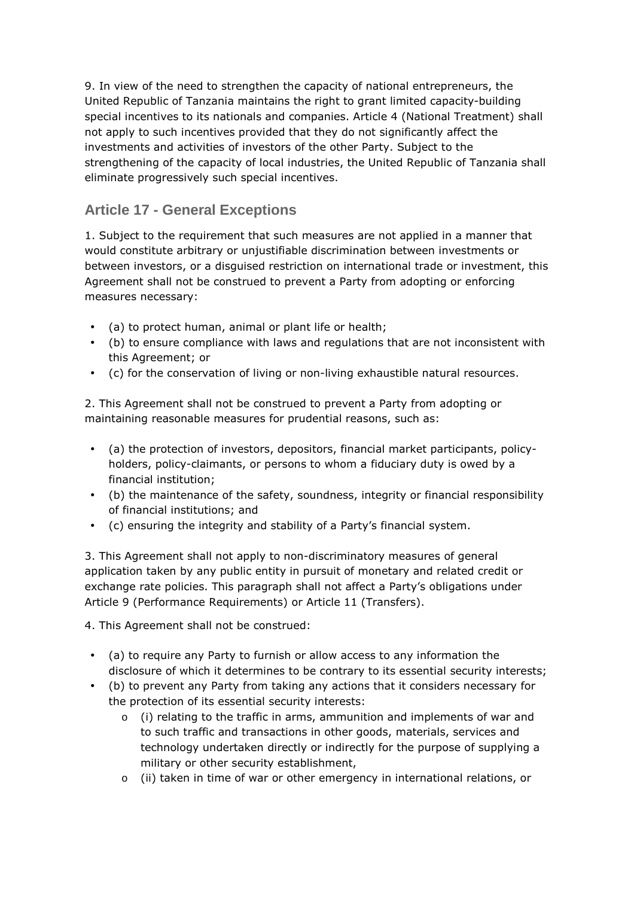9. In view of the need to strengthen the capacity of national entrepreneurs, the United Republic of Tanzania maintains the right to grant limited capacity-building special incentives to its nationals and companies. Article 4 (National Treatment) shall not apply to such incentives provided that they do not significantly affect the investments and activities of investors of the other Party. Subject to the strengthening of the capacity of local industries, the United Republic of Tanzania shall eliminate progressively such special incentives.

### **Article 17 - General Exceptions**

1. Subject to the requirement that such measures are not applied in a manner that would constitute arbitrary or unjustifiable discrimination between investments or between investors, or a disguised restriction on international trade or investment, this Agreement shall not be construed to prevent a Party from adopting or enforcing measures necessary:

- (a) to protect human, animal or plant life or health;
- (b) to ensure compliance with laws and regulations that are not inconsistent with this Agreement; or
- (c) for the conservation of living or non-living exhaustible natural resources.

2. This Agreement shall not be construed to prevent a Party from adopting or maintaining reasonable measures for prudential reasons, such as:

- (a) the protection of investors, depositors, financial market participants, policyholders, policy-claimants, or persons to whom a fiduciary duty is owed by a financial institution;
- (b) the maintenance of the safety, soundness, integrity or financial responsibility of financial institutions; and
- (c) ensuring the integrity and stability of a Party's financial system.

3. This Agreement shall not apply to non-discriminatory measures of general application taken by any public entity in pursuit of monetary and related credit or exchange rate policies. This paragraph shall not affect a Party's obligations under Article 9 (Performance Requirements) or Article 11 (Transfers).

4. This Agreement shall not be construed:

- (a) to require any Party to furnish or allow access to any information the disclosure of which it determines to be contrary to its essential security interests;
- (b) to prevent any Party from taking any actions that it considers necessary for the protection of its essential security interests:
	- $\circ$  (i) relating to the traffic in arms, ammunition and implements of war and to such traffic and transactions in other goods, materials, services and technology undertaken directly or indirectly for the purpose of supplying a military or other security establishment,
	- o (ii) taken in time of war or other emergency in international relations, or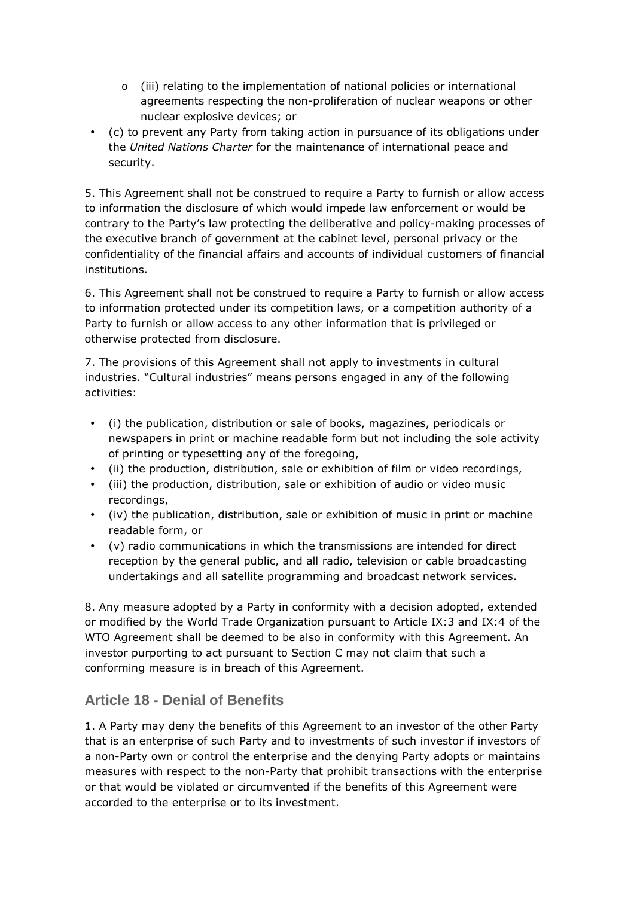- $\circ$  (iii) relating to the implementation of national policies or international agreements respecting the non-proliferation of nuclear weapons or other nuclear explosive devices; or
- (c) to prevent any Party from taking action in pursuance of its obligations under the *United Nations Charter* for the maintenance of international peace and security.

5. This Agreement shall not be construed to require a Party to furnish or allow access to information the disclosure of which would impede law enforcement or would be contrary to the Party's law protecting the deliberative and policy-making processes of the executive branch of government at the cabinet level, personal privacy or the confidentiality of the financial affairs and accounts of individual customers of financial institutions.

6. This Agreement shall not be construed to require a Party to furnish or allow access to information protected under its competition laws, or a competition authority of a Party to furnish or allow access to any other information that is privileged or otherwise protected from disclosure.

7. The provisions of this Agreement shall not apply to investments in cultural industries. "Cultural industries" means persons engaged in any of the following activities:

- (i) the publication, distribution or sale of books, magazines, periodicals or newspapers in print or machine readable form but not including the sole activity of printing or typesetting any of the foregoing,
- (ii) the production, distribution, sale or exhibition of film or video recordings,
- (iii) the production, distribution, sale or exhibition of audio or video music recordings,
- (iv) the publication, distribution, sale or exhibition of music in print or machine readable form, or
- (v) radio communications in which the transmissions are intended for direct reception by the general public, and all radio, television or cable broadcasting undertakings and all satellite programming and broadcast network services.

8. Any measure adopted by a Party in conformity with a decision adopted, extended or modified by the World Trade Organization pursuant to Article IX:3 and IX:4 of the WTO Agreement shall be deemed to be also in conformity with this Agreement. An investor purporting to act pursuant to Section C may not claim that such a conforming measure is in breach of this Agreement.

### **Article 18 - Denial of Benefits**

1. A Party may deny the benefits of this Agreement to an investor of the other Party that is an enterprise of such Party and to investments of such investor if investors of a non-Party own or control the enterprise and the denying Party adopts or maintains measures with respect to the non-Party that prohibit transactions with the enterprise or that would be violated or circumvented if the benefits of this Agreement were accorded to the enterprise or to its investment.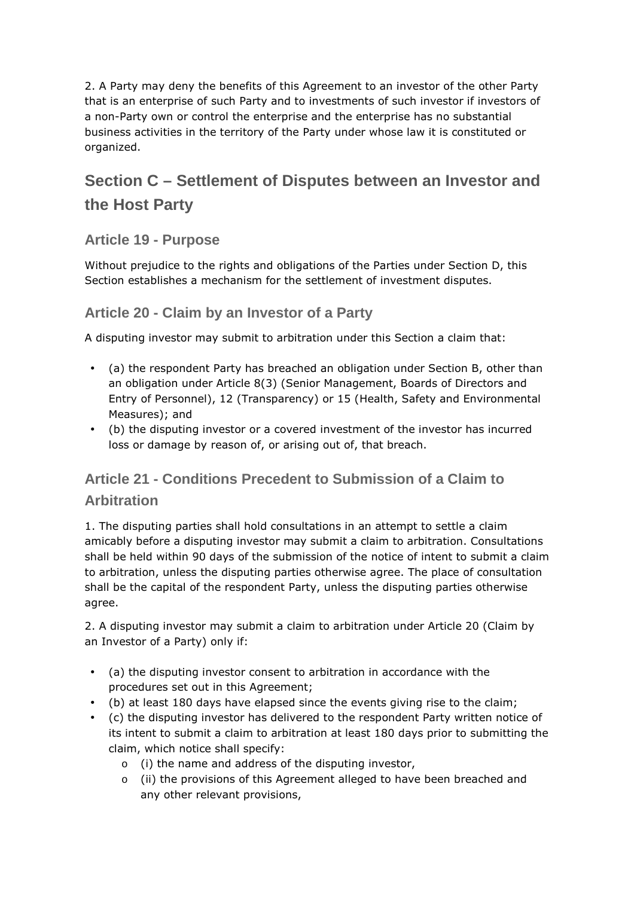2. A Party may deny the benefits of this Agreement to an investor of the other Party that is an enterprise of such Party and to investments of such investor if investors of a non-Party own or control the enterprise and the enterprise has no substantial business activities in the territory of the Party under whose law it is constituted or organized.

# **Section C – Settlement of Disputes between an Investor and the Host Party**

### **Article 19 - Purpose**

Without prejudice to the rights and obligations of the Parties under Section D, this Section establishes a mechanism for the settlement of investment disputes.

#### **Article 20 - Claim by an Investor of a Party**

A disputing investor may submit to arbitration under this Section a claim that:

- (a) the respondent Party has breached an obligation under Section B, other than an obligation under Article 8(3) (Senior Management, Boards of Directors and Entry of Personnel), 12 (Transparency) or 15 (Health, Safety and Environmental Measures); and
- (b) the disputing investor or a covered investment of the investor has incurred loss or damage by reason of, or arising out of, that breach.

### **Article 21 - Conditions Precedent to Submission of a Claim to Arbitration**

1. The disputing parties shall hold consultations in an attempt to settle a claim amicably before a disputing investor may submit a claim to arbitration. Consultations shall be held within 90 days of the submission of the notice of intent to submit a claim to arbitration, unless the disputing parties otherwise agree. The place of consultation shall be the capital of the respondent Party, unless the disputing parties otherwise agree.

2. A disputing investor may submit a claim to arbitration under Article 20 (Claim by an Investor of a Party) only if:

- (a) the disputing investor consent to arbitration in accordance with the procedures set out in this Agreement;
- (b) at least 180 days have elapsed since the events giving rise to the claim;
- (c) the disputing investor has delivered to the respondent Party written notice of its intent to submit a claim to arbitration at least 180 days prior to submitting the claim, which notice shall specify:
	- o (i) the name and address of the disputing investor,
	- o (ii) the provisions of this Agreement alleged to have been breached and any other relevant provisions,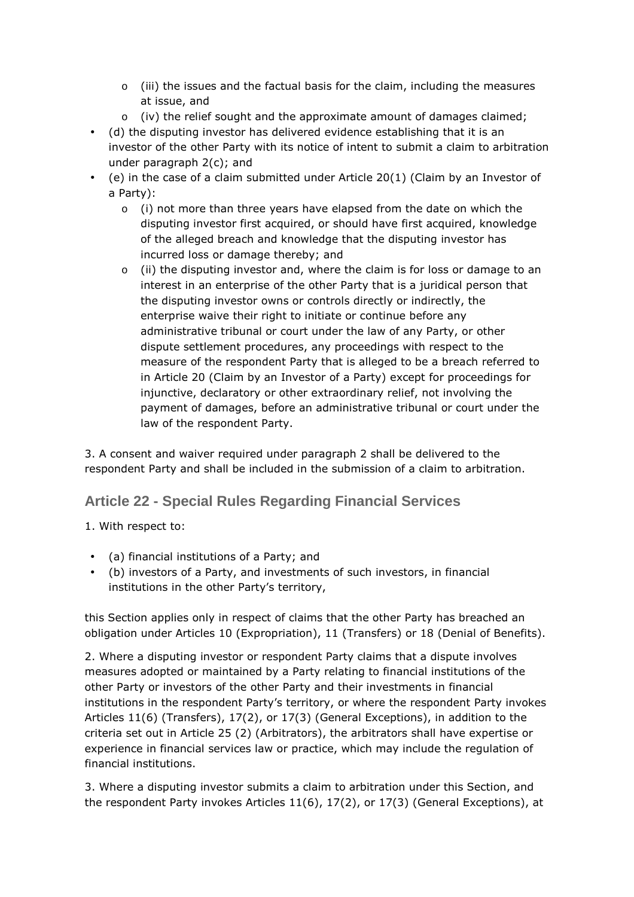- $\circ$  (iii) the issues and the factual basis for the claim, including the measures at issue, and
- $\circ$  (iv) the relief sought and the approximate amount of damages claimed;
- (d) the disputing investor has delivered evidence establishing that it is an investor of the other Party with its notice of intent to submit a claim to arbitration under paragraph 2(c); and
- (e) in the case of a claim submitted under Article 20(1) (Claim by an Investor of a Party):
	- $\circ$  (i) not more than three years have elapsed from the date on which the disputing investor first acquired, or should have first acquired, knowledge of the alleged breach and knowledge that the disputing investor has incurred loss or damage thereby; and
	- $\circ$  (ii) the disputing investor and, where the claim is for loss or damage to an interest in an enterprise of the other Party that is a juridical person that the disputing investor owns or controls directly or indirectly, the enterprise waive their right to initiate or continue before any administrative tribunal or court under the law of any Party, or other dispute settlement procedures, any proceedings with respect to the measure of the respondent Party that is alleged to be a breach referred to in Article 20 (Claim by an Investor of a Party) except for proceedings for injunctive, declaratory or other extraordinary relief, not involving the payment of damages, before an administrative tribunal or court under the law of the respondent Party.

3. A consent and waiver required under paragraph 2 shall be delivered to the respondent Party and shall be included in the submission of a claim to arbitration.

### **Article 22 - Special Rules Regarding Financial Services**

1. With respect to:

- (a) financial institutions of a Party; and
- (b) investors of a Party, and investments of such investors, in financial institutions in the other Party's territory,

this Section applies only in respect of claims that the other Party has breached an obligation under Articles 10 (Expropriation), 11 (Transfers) or 18 (Denial of Benefits).

2. Where a disputing investor or respondent Party claims that a dispute involves measures adopted or maintained by a Party relating to financial institutions of the other Party or investors of the other Party and their investments in financial institutions in the respondent Party's territory, or where the respondent Party invokes Articles 11(6) (Transfers), 17(2), or 17(3) (General Exceptions), in addition to the criteria set out in Article 25 (2) (Arbitrators), the arbitrators shall have expertise or experience in financial services law or practice, which may include the regulation of financial institutions.

3. Where a disputing investor submits a claim to arbitration under this Section, and the respondent Party invokes Articles 11(6), 17(2), or 17(3) (General Exceptions), at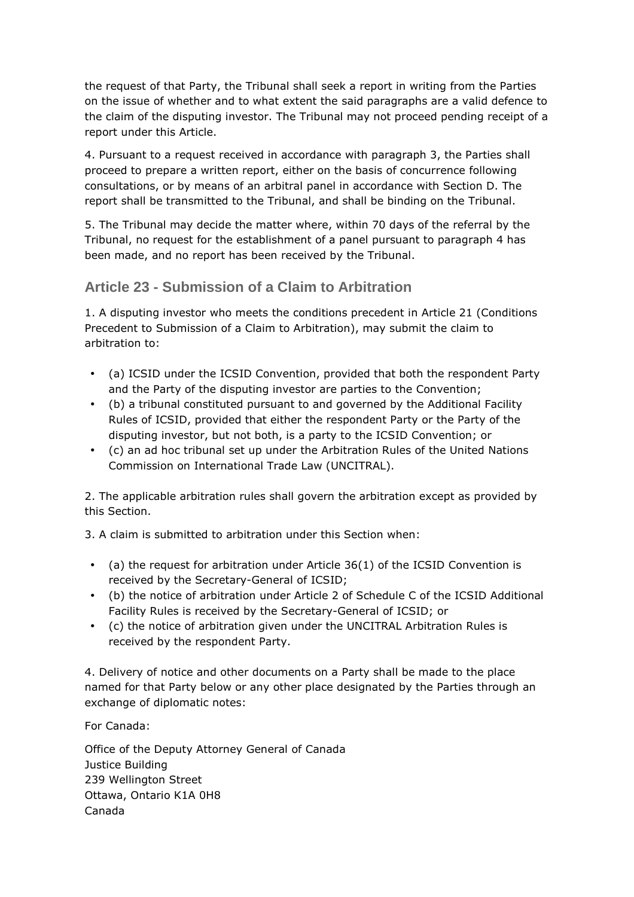the request of that Party, the Tribunal shall seek a report in writing from the Parties on the issue of whether and to what extent the said paragraphs are a valid defence to the claim of the disputing investor. The Tribunal may not proceed pending receipt of a report under this Article.

4. Pursuant to a request received in accordance with paragraph 3, the Parties shall proceed to prepare a written report, either on the basis of concurrence following consultations, or by means of an arbitral panel in accordance with Section D. The report shall be transmitted to the Tribunal, and shall be binding on the Tribunal.

5. The Tribunal may decide the matter where, within 70 days of the referral by the Tribunal, no request for the establishment of a panel pursuant to paragraph 4 has been made, and no report has been received by the Tribunal.

#### **Article 23 - Submission of a Claim to Arbitration**

1. A disputing investor who meets the conditions precedent in Article 21 (Conditions Precedent to Submission of a Claim to Arbitration), may submit the claim to arbitration to:

- (a) ICSID under the ICSID Convention, provided that both the respondent Party and the Party of the disputing investor are parties to the Convention;
- (b) a tribunal constituted pursuant to and governed by the Additional Facility Rules of ICSID, provided that either the respondent Party or the Party of the disputing investor, but not both, is a party to the ICSID Convention; or
- (c) an ad hoc tribunal set up under the Arbitration Rules of the United Nations Commission on International Trade Law (UNCITRAL).

2. The applicable arbitration rules shall govern the arbitration except as provided by this Section.

3. A claim is submitted to arbitration under this Section when:

- (a) the request for arbitration under Article 36(1) of the ICSID Convention is received by the Secretary-General of ICSID;
- (b) the notice of arbitration under Article 2 of Schedule C of the ICSID Additional Facility Rules is received by the Secretary-General of ICSID; or
- (c) the notice of arbitration given under the UNCITRAL Arbitration Rules is received by the respondent Party.

4. Delivery of notice and other documents on a Party shall be made to the place named for that Party below or any other place designated by the Parties through an exchange of diplomatic notes:

For Canada:

Office of the Deputy Attorney General of Canada Justice Building 239 Wellington Street Ottawa, Ontario K1A 0H8 Canada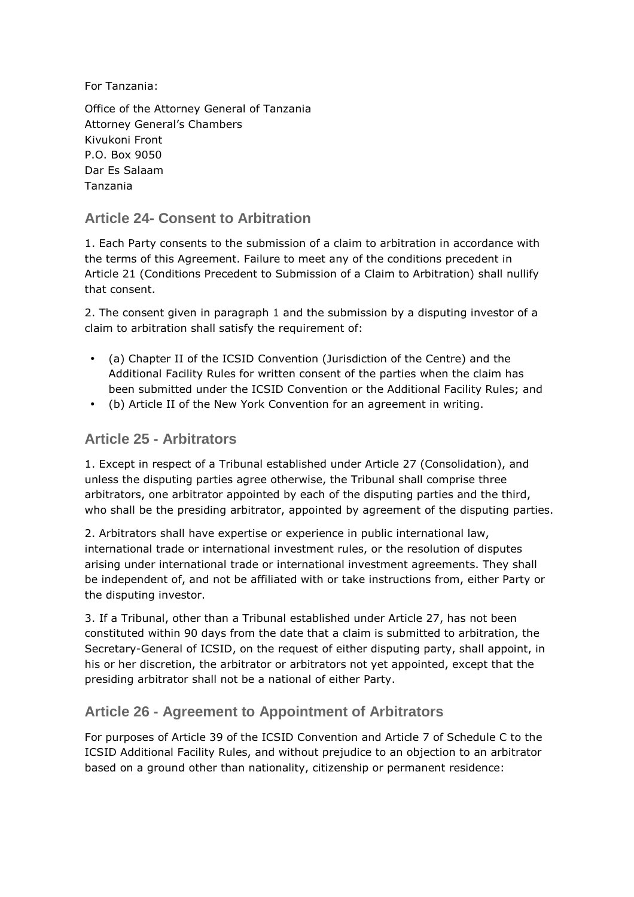For Tanzania:

Office of the Attorney General of Tanzania Attorney General's Chambers Kivukoni Front P.O. Box 9050 Dar Es Salaam Tanzania

#### **Article 24- Consent to Arbitration**

1. Each Party consents to the submission of a claim to arbitration in accordance with the terms of this Agreement. Failure to meet any of the conditions precedent in Article 21 (Conditions Precedent to Submission of a Claim to Arbitration) shall nullify that consent.

2. The consent given in paragraph 1 and the submission by a disputing investor of a claim to arbitration shall satisfy the requirement of:

- (a) Chapter II of the ICSID Convention (Jurisdiction of the Centre) and the Additional Facility Rules for written consent of the parties when the claim has been submitted under the ICSID Convention or the Additional Facility Rules; and
- (b) Article II of the New York Convention for an agreement in writing.

#### **Article 25 - Arbitrators**

1. Except in respect of a Tribunal established under Article 27 (Consolidation), and unless the disputing parties agree otherwise, the Tribunal shall comprise three arbitrators, one arbitrator appointed by each of the disputing parties and the third, who shall be the presiding arbitrator, appointed by agreement of the disputing parties.

2. Arbitrators shall have expertise or experience in public international law, international trade or international investment rules, or the resolution of disputes arising under international trade or international investment agreements. They shall be independent of, and not be affiliated with or take instructions from, either Party or the disputing investor.

3. If a Tribunal, other than a Tribunal established under Article 27, has not been constituted within 90 days from the date that a claim is submitted to arbitration, the Secretary-General of ICSID, on the request of either disputing party, shall appoint, in his or her discretion, the arbitrator or arbitrators not yet appointed, except that the presiding arbitrator shall not be a national of either Party.

#### **Article 26 - Agreement to Appointment of Arbitrators**

For purposes of Article 39 of the ICSID Convention and Article 7 of Schedule C to the ICSID Additional Facility Rules, and without prejudice to an objection to an arbitrator based on a ground other than nationality, citizenship or permanent residence: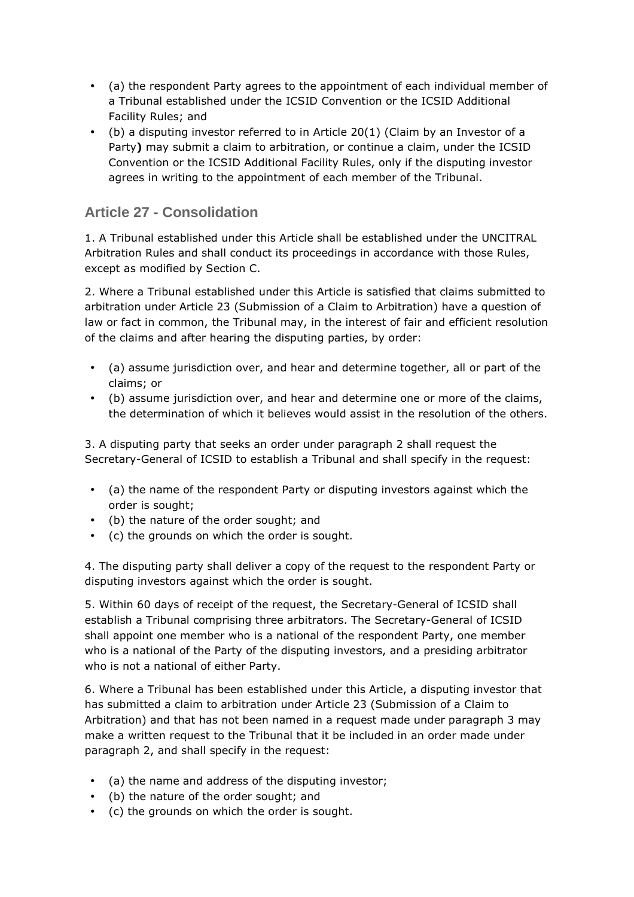- (a) the respondent Party agrees to the appointment of each individual member of a Tribunal established under the ICSID Convention or the ICSID Additional Facility Rules; and
- (b) a disputing investor referred to in Article 20(1) (Claim by an Investor of a Party**)** may submit a claim to arbitration, or continue a claim, under the ICSID Convention or the ICSID Additional Facility Rules, only if the disputing investor agrees in writing to the appointment of each member of the Tribunal.

### **Article 27 - Consolidation**

1. A Tribunal established under this Article shall be established under the UNCITRAL Arbitration Rules and shall conduct its proceedings in accordance with those Rules, except as modified by Section C.

2. Where a Tribunal established under this Article is satisfied that claims submitted to arbitration under Article 23 (Submission of a Claim to Arbitration) have a question of law or fact in common, the Tribunal may, in the interest of fair and efficient resolution of the claims and after hearing the disputing parties, by order:

- (a) assume jurisdiction over, and hear and determine together, all or part of the claims; or
- (b) assume jurisdiction over, and hear and determine one or more of the claims, the determination of which it believes would assist in the resolution of the others.

3. A disputing party that seeks an order under paragraph 2 shall request the Secretary-General of ICSID to establish a Tribunal and shall specify in the request:

- (a) the name of the respondent Party or disputing investors against which the order is sought;
- (b) the nature of the order sought; and
- (c) the grounds on which the order is sought.

4. The disputing party shall deliver a copy of the request to the respondent Party or disputing investors against which the order is sought.

5. Within 60 days of receipt of the request, the Secretary-General of ICSID shall establish a Tribunal comprising three arbitrators. The Secretary-General of ICSID shall appoint one member who is a national of the respondent Party, one member who is a national of the Party of the disputing investors, and a presiding arbitrator who is not a national of either Party.

6. Where a Tribunal has been established under this Article, a disputing investor that has submitted a claim to arbitration under Article 23 (Submission of a Claim to Arbitration) and that has not been named in a request made under paragraph 3 may make a written request to the Tribunal that it be included in an order made under paragraph 2, and shall specify in the request:

- (a) the name and address of the disputing investor;
- (b) the nature of the order sought; and
- (c) the grounds on which the order is sought.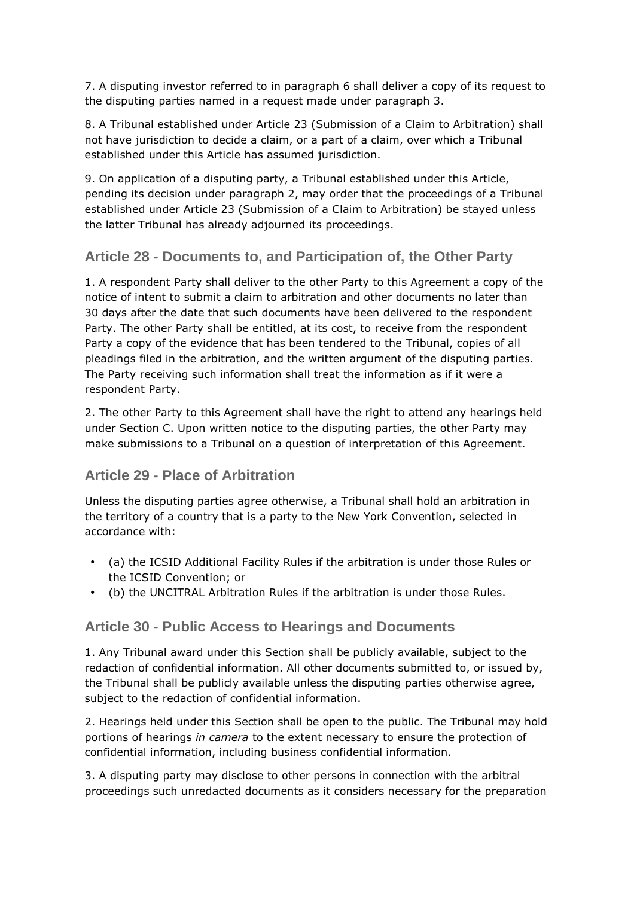7. A disputing investor referred to in paragraph 6 shall deliver a copy of its request to the disputing parties named in a request made under paragraph 3.

8. A Tribunal established under Article 23 (Submission of a Claim to Arbitration) shall not have jurisdiction to decide a claim, or a part of a claim, over which a Tribunal established under this Article has assumed jurisdiction.

9. On application of a disputing party, a Tribunal established under this Article, pending its decision under paragraph 2, may order that the proceedings of a Tribunal established under Article 23 (Submission of a Claim to Arbitration) be stayed unless the latter Tribunal has already adjourned its proceedings.

### **Article 28 - Documents to, and Participation of, the Other Party**

1. A respondent Party shall deliver to the other Party to this Agreement a copy of the notice of intent to submit a claim to arbitration and other documents no later than 30 days after the date that such documents have been delivered to the respondent Party. The other Party shall be entitled, at its cost, to receive from the respondent Party a copy of the evidence that has been tendered to the Tribunal, copies of all pleadings filed in the arbitration, and the written argument of the disputing parties. The Party receiving such information shall treat the information as if it were a respondent Party.

2. The other Party to this Agreement shall have the right to attend any hearings held under Section C. Upon written notice to the disputing parties, the other Party may make submissions to a Tribunal on a question of interpretation of this Agreement.

#### **Article 29 - Place of Arbitration**

Unless the disputing parties agree otherwise, a Tribunal shall hold an arbitration in the territory of a country that is a party to the New York Convention, selected in accordance with:

- (a) the ICSID Additional Facility Rules if the arbitration is under those Rules or the ICSID Convention; or
- (b) the UNCITRAL Arbitration Rules if the arbitration is under those Rules.

#### **Article 30 - Public Access to Hearings and Documents**

1. Any Tribunal award under this Section shall be publicly available, subject to the redaction of confidential information. All other documents submitted to, or issued by, the Tribunal shall be publicly available unless the disputing parties otherwise agree, subject to the redaction of confidential information.

2. Hearings held under this Section shall be open to the public. The Tribunal may hold portions of hearings *in camera* to the extent necessary to ensure the protection of confidential information, including business confidential information.

3. A disputing party may disclose to other persons in connection with the arbitral proceedings such unredacted documents as it considers necessary for the preparation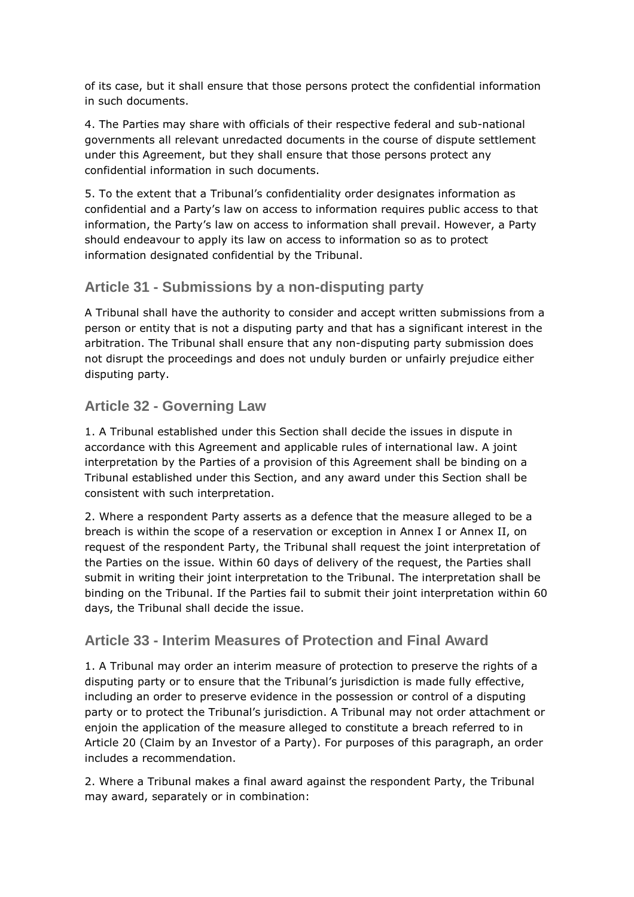of its case, but it shall ensure that those persons protect the confidential information in such documents.

4. The Parties may share with officials of their respective federal and sub-national governments all relevant unredacted documents in the course of dispute settlement under this Agreement, but they shall ensure that those persons protect any confidential information in such documents.

5. To the extent that a Tribunal's confidentiality order designates information as confidential and a Party's law on access to information requires public access to that information, the Party's law on access to information shall prevail. However, a Party should endeavour to apply its law on access to information so as to protect information designated confidential by the Tribunal.

### **Article 31 - Submissions by a non-disputing party**

A Tribunal shall have the authority to consider and accept written submissions from a person or entity that is not a disputing party and that has a significant interest in the arbitration. The Tribunal shall ensure that any non-disputing party submission does not disrupt the proceedings and does not unduly burden or unfairly prejudice either disputing party.

#### **Article 32 - Governing Law**

1. A Tribunal established under this Section shall decide the issues in dispute in accordance with this Agreement and applicable rules of international law. A joint interpretation by the Parties of a provision of this Agreement shall be binding on a Tribunal established under this Section, and any award under this Section shall be consistent with such interpretation.

2. Where a respondent Party asserts as a defence that the measure alleged to be a breach is within the scope of a reservation or exception in Annex I or Annex II, on request of the respondent Party, the Tribunal shall request the joint interpretation of the Parties on the issue. Within 60 days of delivery of the request, the Parties shall submit in writing their joint interpretation to the Tribunal. The interpretation shall be binding on the Tribunal. If the Parties fail to submit their joint interpretation within 60 days, the Tribunal shall decide the issue.

### **Article 33 - Interim Measures of Protection and Final Award**

1. A Tribunal may order an interim measure of protection to preserve the rights of a disputing party or to ensure that the Tribunal's jurisdiction is made fully effective, including an order to preserve evidence in the possession or control of a disputing party or to protect the Tribunal's jurisdiction. A Tribunal may not order attachment or enjoin the application of the measure alleged to constitute a breach referred to in Article 20 (Claim by an Investor of a Party). For purposes of this paragraph, an order includes a recommendation.

2. Where a Tribunal makes a final award against the respondent Party, the Tribunal may award, separately or in combination: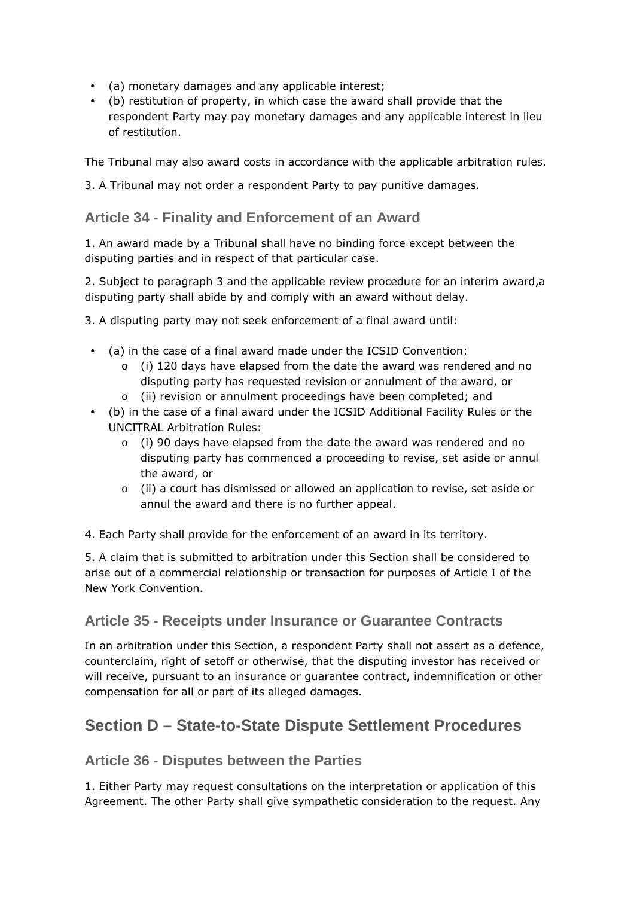- (a) monetary damages and any applicable interest;
- (b) restitution of property, in which case the award shall provide that the respondent Party may pay monetary damages and any applicable interest in lieu of restitution.

The Tribunal may also award costs in accordance with the applicable arbitration rules.

3. A Tribunal may not order a respondent Party to pay punitive damages.

#### **Article 34 - Finality and Enforcement of an Award**

1. An award made by a Tribunal shall have no binding force except between the disputing parties and in respect of that particular case.

2. Subject to paragraph 3 and the applicable review procedure for an interim award,a disputing party shall abide by and comply with an award without delay.

3. A disputing party may not seek enforcement of a final award until:

- (a) in the case of a final award made under the ICSID Convention:
	- o (i) 120 days have elapsed from the date the award was rendered and no disputing party has requested revision or annulment of the award, or
	- o (ii) revision or annulment proceedings have been completed; and
- (b) in the case of a final award under the ICSID Additional Facility Rules or the UNCITRAL Arbitration Rules:
	- $\circ$  (i) 90 days have elapsed from the date the award was rendered and no disputing party has commenced a proceeding to revise, set aside or annul the award, or
	- o (ii) a court has dismissed or allowed an application to revise, set aside or annul the award and there is no further appeal.
- 4. Each Party shall provide for the enforcement of an award in its territory.

5. A claim that is submitted to arbitration under this Section shall be considered to arise out of a commercial relationship or transaction for purposes of Article I of the New York Convention.

#### **Article 35 - Receipts under Insurance or Guarantee Contracts**

In an arbitration under this Section, a respondent Party shall not assert as a defence, counterclaim, right of setoff or otherwise, that the disputing investor has received or will receive, pursuant to an insurance or guarantee contract, indemnification or other compensation for all or part of its alleged damages.

# **Section D – State-to-State Dispute Settlement Procedures**

#### **Article 36 - Disputes between the Parties**

1. Either Party may request consultations on the interpretation or application of this Agreement. The other Party shall give sympathetic consideration to the request. Any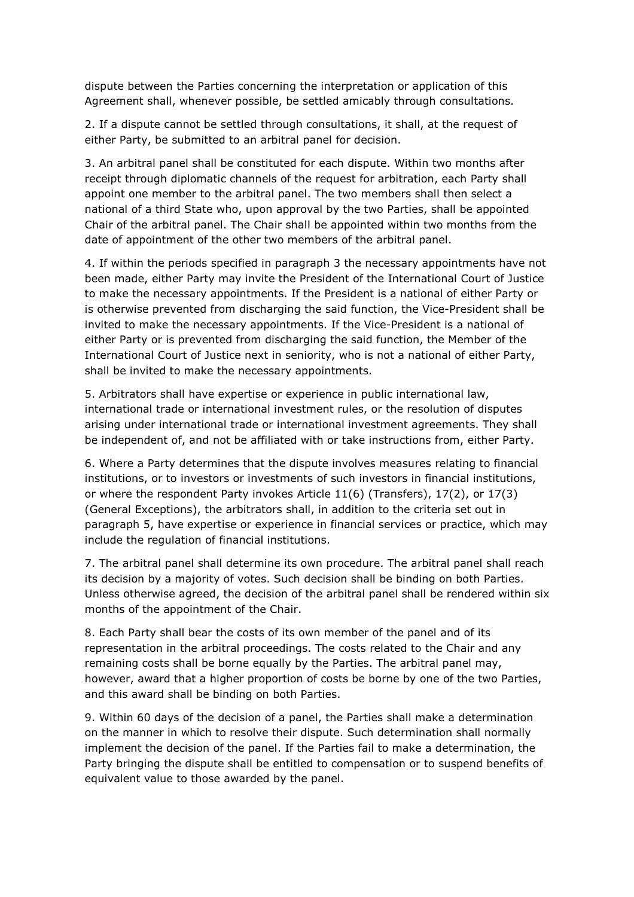dispute between the Parties concerning the interpretation or application of this Agreement shall, whenever possible, be settled amicably through consultations.

2. If a dispute cannot be settled through consultations, it shall, at the request of either Party, be submitted to an arbitral panel for decision.

3. An arbitral panel shall be constituted for each dispute. Within two months after receipt through diplomatic channels of the request for arbitration, each Party shall appoint one member to the arbitral panel. The two members shall then select a national of a third State who, upon approval by the two Parties, shall be appointed Chair of the arbitral panel. The Chair shall be appointed within two months from the date of appointment of the other two members of the arbitral panel.

4. If within the periods specified in paragraph 3 the necessary appointments have not been made, either Party may invite the President of the International Court of Justice to make the necessary appointments. If the President is a national of either Party or is otherwise prevented from discharging the said function, the Vice-President shall be invited to make the necessary appointments. If the Vice-President is a national of either Party or is prevented from discharging the said function, the Member of the International Court of Justice next in seniority, who is not a national of either Party, shall be invited to make the necessary appointments.

5. Arbitrators shall have expertise or experience in public international law, international trade or international investment rules, or the resolution of disputes arising under international trade or international investment agreements. They shall be independent of, and not be affiliated with or take instructions from, either Party.

6. Where a Party determines that the dispute involves measures relating to financial institutions, or to investors or investments of such investors in financial institutions, or where the respondent Party invokes Article 11(6) (Transfers), 17(2), or 17(3) (General Exceptions), the arbitrators shall, in addition to the criteria set out in paragraph 5, have expertise or experience in financial services or practice, which may include the regulation of financial institutions.

7. The arbitral panel shall determine its own procedure. The arbitral panel shall reach its decision by a majority of votes. Such decision shall be binding on both Parties. Unless otherwise agreed, the decision of the arbitral panel shall be rendered within six months of the appointment of the Chair.

8. Each Party shall bear the costs of its own member of the panel and of its representation in the arbitral proceedings. The costs related to the Chair and any remaining costs shall be borne equally by the Parties. The arbitral panel may, however, award that a higher proportion of costs be borne by one of the two Parties, and this award shall be binding on both Parties.

9. Within 60 days of the decision of a panel, the Parties shall make a determination on the manner in which to resolve their dispute. Such determination shall normally implement the decision of the panel. If the Parties fail to make a determination, the Party bringing the dispute shall be entitled to compensation or to suspend benefits of equivalent value to those awarded by the panel.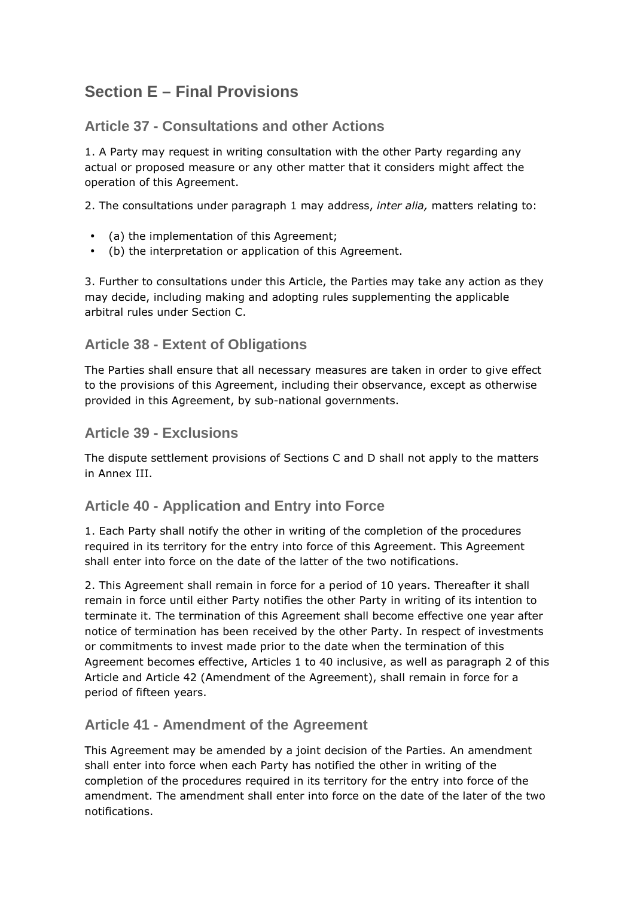# **Section E – Final Provisions**

### **Article 37 - Consultations and other Actions**

1. A Party may request in writing consultation with the other Party regarding any actual or proposed measure or any other matter that it considers might affect the operation of this Agreement.

2. The consultations under paragraph 1 may address, *inter alia,* matters relating to:

- (a) the implementation of this Agreement;
- (b) the interpretation or application of this Agreement.

3. Further to consultations under this Article, the Parties may take any action as they may decide, including making and adopting rules supplementing the applicable arbitral rules under Section C.

#### **Article 38 - Extent of Obligations**

The Parties shall ensure that all necessary measures are taken in order to give effect to the provisions of this Agreement, including their observance, except as otherwise provided in this Agreement, by sub-national governments.

#### **Article 39 - Exclusions**

The dispute settlement provisions of Sections C and D shall not apply to the matters in Annex III.

#### **Article 40 - Application and Entry into Force**

1. Each Party shall notify the other in writing of the completion of the procedures required in its territory for the entry into force of this Agreement. This Agreement shall enter into force on the date of the latter of the two notifications.

2. This Agreement shall remain in force for a period of 10 years. Thereafter it shall remain in force until either Party notifies the other Party in writing of its intention to terminate it. The termination of this Agreement shall become effective one year after notice of termination has been received by the other Party. In respect of investments or commitments to invest made prior to the date when the termination of this Agreement becomes effective, Articles 1 to 40 inclusive, as well as paragraph 2 of this Article and Article 42 (Amendment of the Agreement), shall remain in force for a period of fifteen years.

### **Article 41 - Amendment of the Agreement**

This Agreement may be amended by a joint decision of the Parties. An amendment shall enter into force when each Party has notified the other in writing of the completion of the procedures required in its territory for the entry into force of the amendment. The amendment shall enter into force on the date of the later of the two notifications.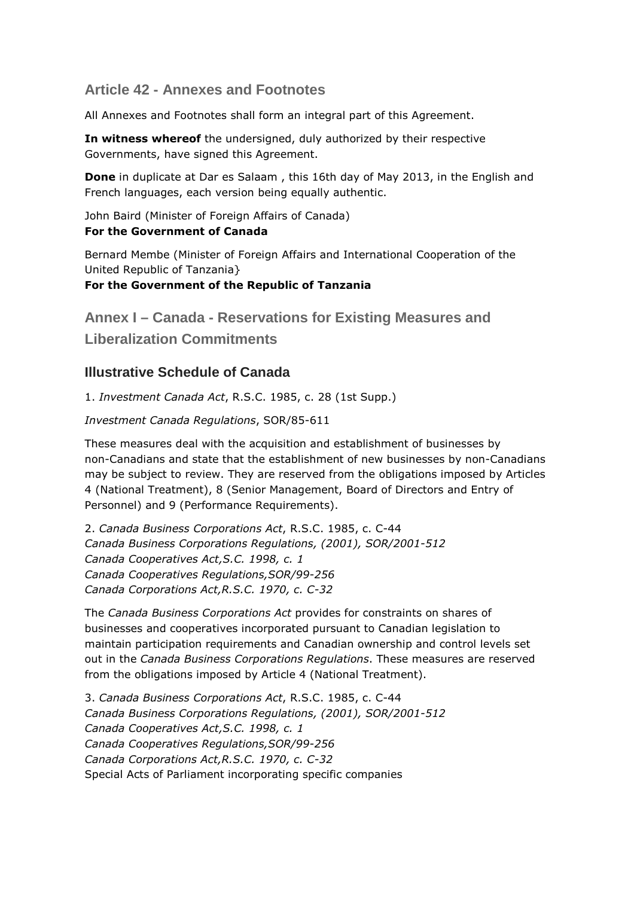#### **Article 42 - Annexes and Footnotes**

All Annexes and Footnotes shall form an integral part of this Agreement.

**In witness whereof** the undersigned, duly authorized by their respective Governments, have signed this Agreement.

**Done** in duplicate at Dar es Salaam , this 16th day of May 2013, in the English and French languages, each version being equally authentic.

John Baird (Minister of Foreign Affairs of Canada) **For the Government of Canada**

Bernard Membe (Minister of Foreign Affairs and International Cooperation of the United Republic of Tanzania}

**For the Government of the Republic of Tanzania**

**Annex I – Canada - Reservations for Existing Measures and Liberalization Commitments** 

#### **Illustrative Schedule of Canada**

1. *Investment Canada Act*, R.S.C. 1985, c. 28 (1st Supp.)

*Investment Canada Regulations*, SOR/85-611

These measures deal with the acquisition and establishment of businesses by non-Canadians and state that the establishment of new businesses by non-Canadians may be subject to review. They are reserved from the obligations imposed by Articles 4 (National Treatment), 8 (Senior Management, Board of Directors and Entry of Personnel) and 9 (Performance Requirements).

2. *Canada Business Corporations Act*, R.S.C. 1985, c. C-44 *Canada Business Corporations Regulations, (2001), SOR/2001-512 Canada Cooperatives Act,S.C. 1998, c. 1 Canada Cooperatives Regulations,SOR/99-256 Canada Corporations Act,R.S.C. 1970, c. C-32*

The *Canada Business Corporations Act* provides for constraints on shares of businesses and cooperatives incorporated pursuant to Canadian legislation to maintain participation requirements and Canadian ownership and control levels set out in the *Canada Business Corporations Regulations*. These measures are reserved from the obligations imposed by Article 4 (National Treatment).

3. *Canada Business Corporations Act*, R.S.C. 1985, c. C-44 *Canada Business Corporations Regulations, (2001), SOR/2001-512 Canada Cooperatives Act,S.C. 1998, c. 1 Canada Cooperatives Regulations,SOR/99-256 Canada Corporations Act,R.S.C. 1970, c. C-32* Special Acts of Parliament incorporating specific companies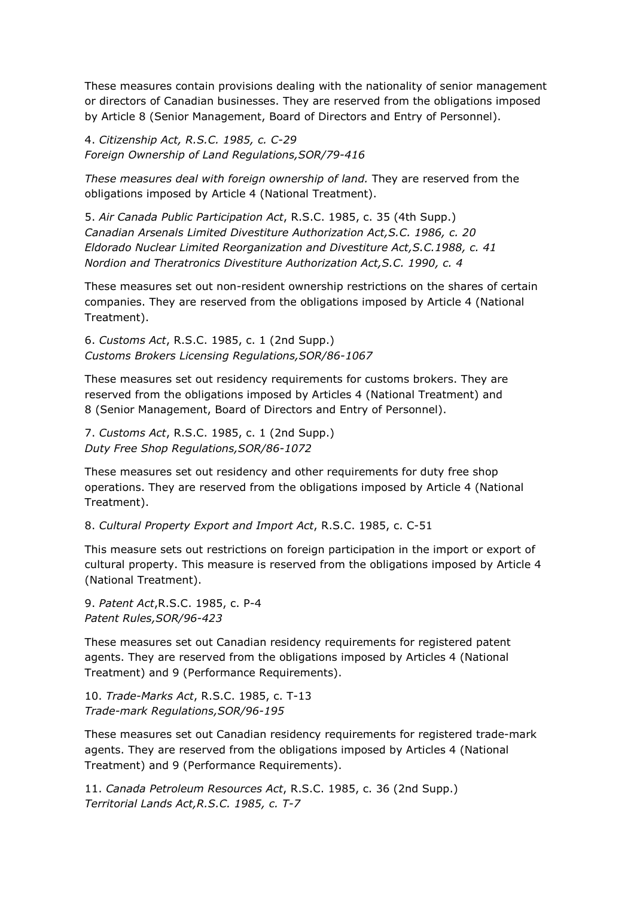These measures contain provisions dealing with the nationality of senior management or directors of Canadian businesses. They are reserved from the obligations imposed by Article 8 (Senior Management, Board of Directors and Entry of Personnel).

4. *Citizenship Act, R.S.C. 1985, c. C-29 Foreign Ownership of Land Regulations,SOR/79-416*

*These measures deal with foreign ownership of land.* They are reserved from the obligations imposed by Article 4 (National Treatment).

5. *Air Canada Public Participation Act*, R.S.C. 1985, c. 35 (4th Supp.) *Canadian Arsenals Limited Divestiture Authorization Act,S.C. 1986, c. 20 Eldorado Nuclear Limited Reorganization and Divestiture Act,S.C.1988, c. 41 Nordion and Theratronics Divestiture Authorization Act,S.C. 1990, c. 4*

These measures set out non-resident ownership restrictions on the shares of certain companies. They are reserved from the obligations imposed by Article 4 (National Treatment).

6. *Customs Act*, R.S.C. 1985, c. 1 (2nd Supp.) *Customs Brokers Licensing Regulations,SOR/86-1067*

These measures set out residency requirements for customs brokers. They are reserved from the obligations imposed by Articles 4 (National Treatment) and 8 (Senior Management, Board of Directors and Entry of Personnel).

7. *Customs Act*, R.S.C. 1985, c. 1 (2nd Supp.) *Duty Free Shop Regulations,SOR/86-1072*

These measures set out residency and other requirements for duty free shop operations. They are reserved from the obligations imposed by Article 4 (National Treatment).

8. *Cultural Property Export and Import Act*, R.S.C. 1985, c. C-51

This measure sets out restrictions on foreign participation in the import or export of cultural property. This measure is reserved from the obligations imposed by Article 4 (National Treatment).

9. *Patent Act*,R.S.C. 1985, c. P-4 *Patent Rules,SOR/96-423*

These measures set out Canadian residency requirements for registered patent agents. They are reserved from the obligations imposed by Articles 4 (National Treatment) and 9 (Performance Requirements).

10. *Trade-Marks Act*, R.S.C. 1985, c. T-13 *Trade-mark Regulations,SOR/96-195*

These measures set out Canadian residency requirements for registered trade-mark agents. They are reserved from the obligations imposed by Articles 4 (National Treatment) and 9 (Performance Requirements).

11. *Canada Petroleum Resources Act*, R.S.C. 1985, c. 36 (2nd Supp.) *Territorial Lands Act,R.S.C. 1985, c. T-7*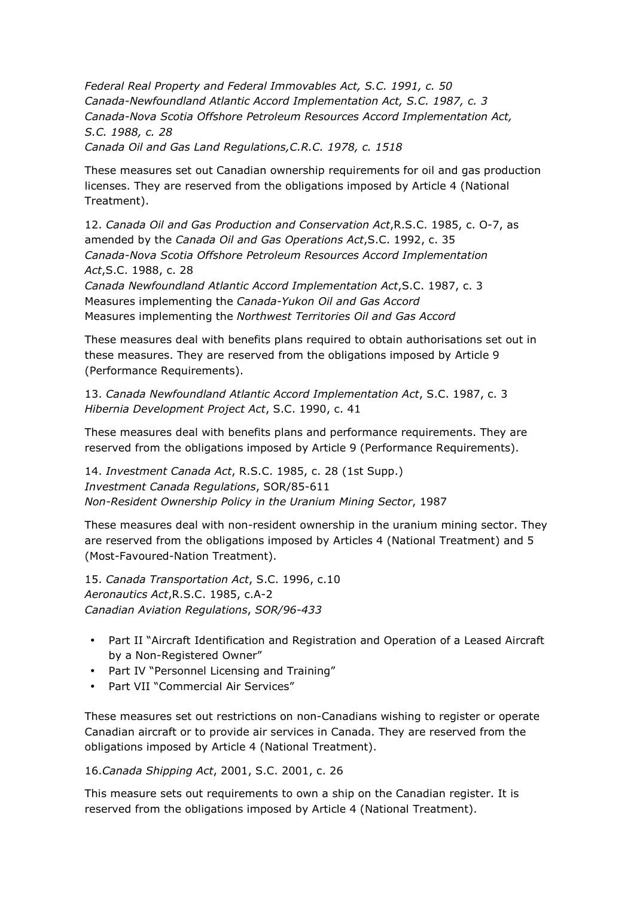*Federal Real Property and Federal Immovables Act, S.C. 1991, c. 50 Canada-Newfoundland Atlantic Accord Implementation Act, S.C. 1987, c. 3 Canada-Nova Scotia Offshore Petroleum Resources Accord Implementation Act, S.C. 1988, c. 28 Canada Oil and Gas Land Regulations,C.R.C. 1978, c. 1518*

These measures set out Canadian ownership requirements for oil and gas production licenses. They are reserved from the obligations imposed by Article 4 (National

Treatment). 12. *Canada Oil and Gas Production and Conservation Act*,R.S.C. 1985, c. O-7, as amended by the *Canada Oil and Gas Operations Act*,S.C. 1992, c. 35

*Canada-Nova Scotia Offshore Petroleum Resources Accord Implementation Act*,S.C. 1988, c. 28 *Canada Newfoundland Atlantic Accord Implementation Act*,S.C. 1987, c. 3 Measures implementing the *Canada-Yukon Oil and Gas Accord*

Measures implementing the *Northwest Territories Oil and Gas Accord*

These measures deal with benefits plans required to obtain authorisations set out in these measures. They are reserved from the obligations imposed by Article 9 (Performance Requirements).

13. *Canada Newfoundland Atlantic Accord Implementation Act*, S.C. 1987, c. 3 *Hibernia Development Project Act*, S.C. 1990, c. 41

These measures deal with benefits plans and performance requirements. They are reserved from the obligations imposed by Article 9 (Performance Requirements).

14. *Investment Canada Act*, R.S.C. 1985, c. 28 (1st Supp.) *Investment Canada Regulations*, SOR/85-611 *Non-Resident Ownership Policy in the Uranium Mining Sector*, 1987

These measures deal with non-resident ownership in the uranium mining sector. They are reserved from the obligations imposed by Articles 4 (National Treatment) and 5 (Most-Favoured-Nation Treatment).

15. *Canada Transportation Act*, S.C. 1996, c.10 *Aeronautics Act*,R.S.C. 1985, c.A-2 *Canadian Aviation Regulations*, *SOR/96-433*

- Part II "Aircraft Identification and Registration and Operation of a Leased Aircraft by a Non-Registered Owner"
- Part IV "Personnel Licensing and Training"
- Part VII "Commercial Air Services"

These measures set out restrictions on non-Canadians wishing to register or operate Canadian aircraft or to provide air services in Canada. They are reserved from the obligations imposed by Article 4 (National Treatment).

16.*Canada Shipping Act*, 2001, S.C. 2001, c. 26

This measure sets out requirements to own a ship on the Canadian register. It is reserved from the obligations imposed by Article 4 (National Treatment).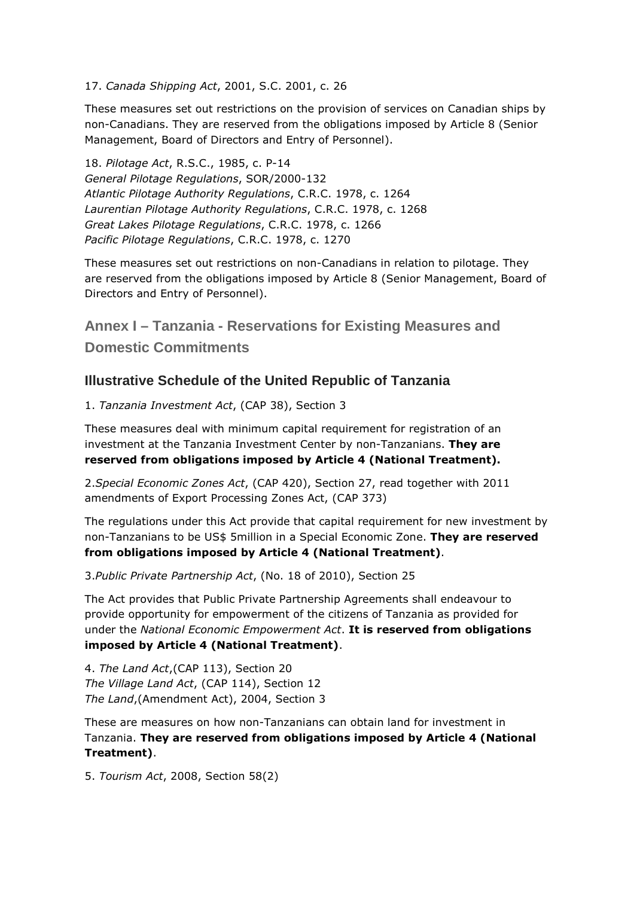#### 17. *Canada Shipping Act*, 2001, S.C. 2001, c. 26

These measures set out restrictions on the provision of services on Canadian ships by non-Canadians. They are reserved from the obligations imposed by Article 8 (Senior Management, Board of Directors and Entry of Personnel).

18. *Pilotage Act*, R.S.C., 1985, c. P-14 *General Pilotage Regulations*, SOR/2000-132 *Atlantic Pilotage Authority Regulations*, C.R.C. 1978, c. 1264 *Laurentian Pilotage Authority Regulations*, C.R.C. 1978, c. 1268 *Great Lakes Pilotage Regulations*, C.R.C. 1978, c. 1266 *Pacific Pilotage Regulations*, C.R.C. 1978, c. 1270

These measures set out restrictions on non-Canadians in relation to pilotage. They are reserved from the obligations imposed by Article 8 (Senior Management, Board of Directors and Entry of Personnel).

**Annex I – Tanzania - Reservations for Existing Measures and Domestic Commitments** 

#### **Illustrative Schedule of the United Republic of Tanzania**

1. *Tanzania Investment Act*, (CAP 38), Section 3

These measures deal with minimum capital requirement for registration of an investment at the Tanzania Investment Center by non-Tanzanians. **They are reserved from obligations imposed by Article 4 (National Treatment).**

2.*Special Economic Zones Act*, (CAP 420), Section 27, read together with 2011 amendments of Export Processing Zones Act, (CAP 373)

The regulations under this Act provide that capital requirement for new investment by non-Tanzanians to be US\$ 5million in a Special Economic Zone. **They are reserved from obligations imposed by Article 4 (National Treatment)**.

3.*Public Private Partnership Act*, (No. 18 of 2010), Section 25

The Act provides that Public Private Partnership Agreements shall endeavour to provide opportunity for empowerment of the citizens of Tanzania as provided for under the *National Economic Empowerment Act*. **It is reserved from obligations imposed by Article 4 (National Treatment)**.

4. *The Land Act*,(CAP 113), Section 20 *The Village Land Act*, (CAP 114), Section 12 *The Land*,(Amendment Act), 2004, Section 3

These are measures on how non-Tanzanians can obtain land for investment in Tanzania. **They are reserved from obligations imposed by Article 4 (National Treatment)**.

5. *Tourism Act*, 2008, Section 58(2)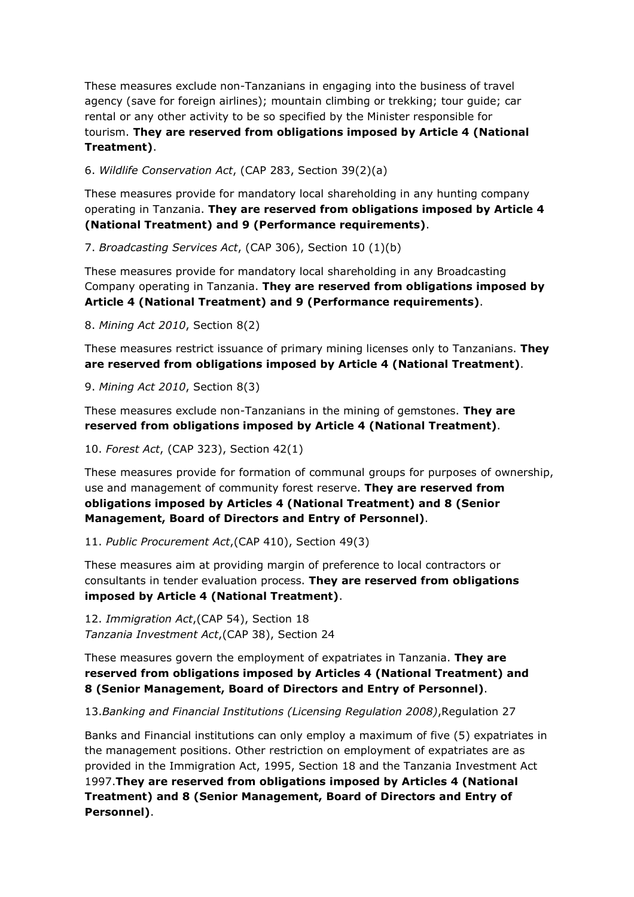These measures exclude non-Tanzanians in engaging into the business of travel agency (save for foreign airlines); mountain climbing or trekking; tour guide; car rental or any other activity to be so specified by the Minister responsible for tourism. **They are reserved from obligations imposed by Article 4 (National Treatment)**.

6. *Wildlife Conservation Act*, (CAP 283, Section 39(2)(a)

These measures provide for mandatory local shareholding in any hunting company operating in Tanzania. **They are reserved from obligations imposed by Article 4 (National Treatment) and 9 (Performance requirements)**.

7. *Broadcasting Services Act*, (CAP 306), Section 10 (1)(b)

These measures provide for mandatory local shareholding in any Broadcasting Company operating in Tanzania. **They are reserved from obligations imposed by Article 4 (National Treatment) and 9 (Performance requirements)**.

8. *Mining Act 2010*, Section 8(2)

These measures restrict issuance of primary mining licenses only to Tanzanians. **They are reserved from obligations imposed by Article 4 (National Treatment)**.

9. *Mining Act 2010*, Section 8(3)

These measures exclude non-Tanzanians in the mining of gemstones. **They are reserved from obligations imposed by Article 4 (National Treatment)**.

10. *Forest Act*, (CAP 323), Section 42(1)

These measures provide for formation of communal groups for purposes of ownership, use and management of community forest reserve. **They are reserved from obligations imposed by Articles 4 (National Treatment) and 8 (Senior Management, Board of Directors and Entry of Personnel)**.

11. *Public Procurement Act*,(CAP 410), Section 49(3)

These measures aim at providing margin of preference to local contractors or consultants in tender evaluation process. **They are reserved from obligations imposed by Article 4 (National Treatment)**.

12. *Immigration Act*,(CAP 54), Section 18 *Tanzania Investment Act*,(CAP 38), Section 24

These measures govern the employment of expatriates in Tanzania. **They are reserved from obligations imposed by Articles 4 (National Treatment) and 8 (Senior Management, Board of Directors and Entry of Personnel)**.

13.*Banking and Financial Institutions (Licensing Regulation 2008)*,Regulation 27

Banks and Financial institutions can only employ a maximum of five (5) expatriates in the management positions. Other restriction on employment of expatriates are as provided in the Immigration Act, 1995, Section 18 and the Tanzania Investment Act 1997.**They are reserved from obligations imposed by Articles 4 (National Treatment) and 8 (Senior Management, Board of Directors and Entry of Personnel)**.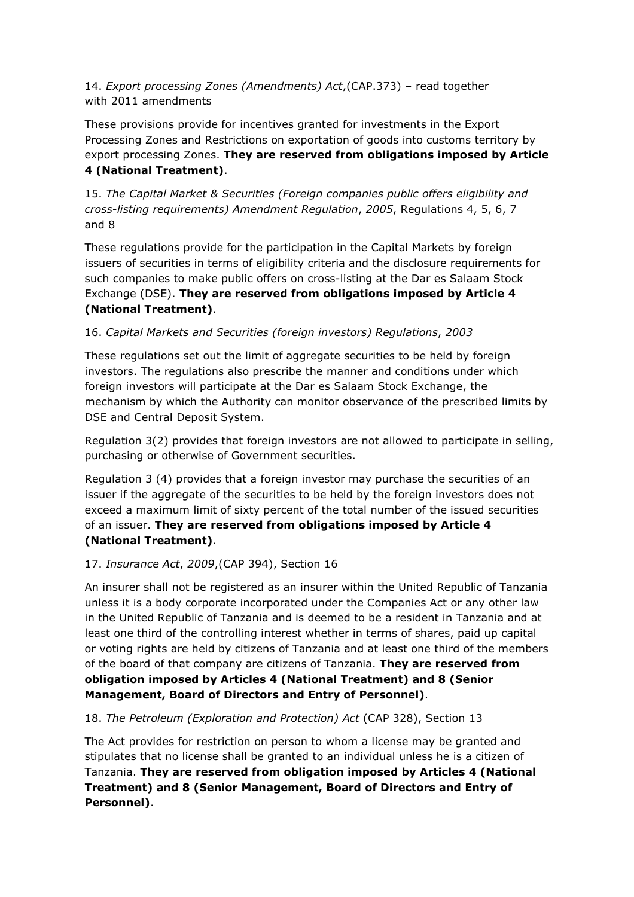14. *Export processing Zones (Amendments) Act*,(CAP.373) – read together with 2011 amendments

These provisions provide for incentives granted for investments in the Export Processing Zones and Restrictions on exportation of goods into customs territory by export processing Zones. **They are reserved from obligations imposed by Article 4 (National Treatment)**.

15. *The Capital Market & Securities (Foreign companies public offers eligibility and cross-listing requirements) Amendment Regulation*, *2005*, Regulations 4, 5, 6, 7 and 8

These regulations provide for the participation in the Capital Markets by foreign issuers of securities in terms of eligibility criteria and the disclosure requirements for such companies to make public offers on cross-listing at the Dar es Salaam Stock Exchange (DSE). **They are reserved from obligations imposed by Article 4 (National Treatment)**.

#### 16. *Capital Markets and Securities (foreign investors) Regulations*, *2003*

These regulations set out the limit of aggregate securities to be held by foreign investors. The regulations also prescribe the manner and conditions under which foreign investors will participate at the Dar es Salaam Stock Exchange, the mechanism by which the Authority can monitor observance of the prescribed limits by DSE and Central Deposit System.

Regulation 3(2) provides that foreign investors are not allowed to participate in selling, purchasing or otherwise of Government securities.

Regulation 3 (4) provides that a foreign investor may purchase the securities of an issuer if the aggregate of the securities to be held by the foreign investors does not exceed a maximum limit of sixty percent of the total number of the issued securities of an issuer. **They are reserved from obligations imposed by Article 4 (National Treatment)**.

#### 17. *Insurance Act*, *2009*,(CAP 394), Section 16

An insurer shall not be registered as an insurer within the United Republic of Tanzania unless it is a body corporate incorporated under the Companies Act or any other law in the United Republic of Tanzania and is deemed to be a resident in Tanzania and at least one third of the controlling interest whether in terms of shares, paid up capital or voting rights are held by citizens of Tanzania and at least one third of the members of the board of that company are citizens of Tanzania. **They are reserved from obligation imposed by Articles 4 (National Treatment) and 8 (Senior Management, Board of Directors and Entry of Personnel)**.

18. *The Petroleum (Exploration and Protection) Act* (CAP 328), Section 13

The Act provides for restriction on person to whom a license may be granted and stipulates that no license shall be granted to an individual unless he is a citizen of Tanzania. **They are reserved from obligation imposed by Articles 4 (National Treatment) and 8 (Senior Management, Board of Directors and Entry of Personnel)**.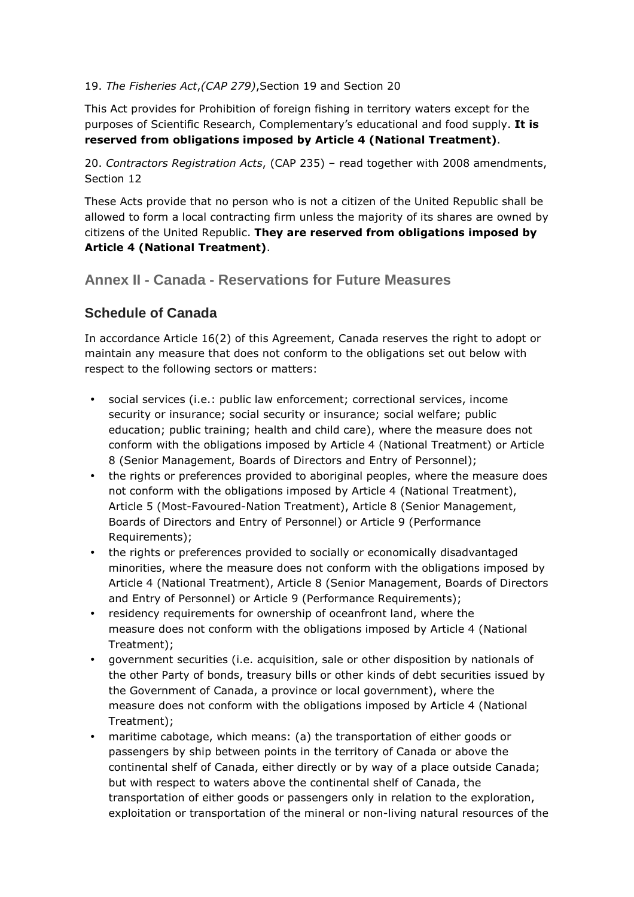#### 19. *The Fisheries Act*,*(CAP 279)*,Section 19 and Section 20

This Act provides for Prohibition of foreign fishing in territory waters except for the purposes of Scientific Research, Complementary's educational and food supply. **It is reserved from obligations imposed by Article 4 (National Treatment)**.

20. *Contractors Registration Acts*, (CAP 235) – read together with 2008 amendments, Section 12

These Acts provide that no person who is not a citizen of the United Republic shall be allowed to form a local contracting firm unless the majority of its shares are owned by citizens of the United Republic. **They are reserved from obligations imposed by Article 4 (National Treatment)**.

**Annex II - Canada - Reservations for Future Measures** 

#### **Schedule of Canada**

In accordance Article 16(2) of this Agreement, Canada reserves the right to adopt or maintain any measure that does not conform to the obligations set out below with respect to the following sectors or matters:

- social services (i.e.: public law enforcement; correctional services, income security or insurance; social security or insurance; social welfare; public education; public training; health and child care), where the measure does not conform with the obligations imposed by Article 4 (National Treatment) or Article 8 (Senior Management, Boards of Directors and Entry of Personnel);
- the rights or preferences provided to aboriginal peoples, where the measure does not conform with the obligations imposed by Article 4 (National Treatment), Article 5 (Most-Favoured-Nation Treatment), Article 8 (Senior Management, Boards of Directors and Entry of Personnel) or Article 9 (Performance Requirements);
- the rights or preferences provided to socially or economically disadvantaged minorities, where the measure does not conform with the obligations imposed by Article 4 (National Treatment), Article 8 (Senior Management, Boards of Directors and Entry of Personnel) or Article 9 (Performance Requirements);
- residency requirements for ownership of oceanfront land, where the measure does not conform with the obligations imposed by Article 4 (National Treatment);
- government securities (i.e. acquisition, sale or other disposition by nationals of the other Party of bonds, treasury bills or other kinds of debt securities issued by the Government of Canada, a province or local government), where the measure does not conform with the obligations imposed by Article 4 (National Treatment);
- maritime cabotage, which means: (a) the transportation of either goods or passengers by ship between points in the territory of Canada or above the continental shelf of Canada, either directly or by way of a place outside Canada; but with respect to waters above the continental shelf of Canada, the transportation of either goods or passengers only in relation to the exploration, exploitation or transportation of the mineral or non-living natural resources of the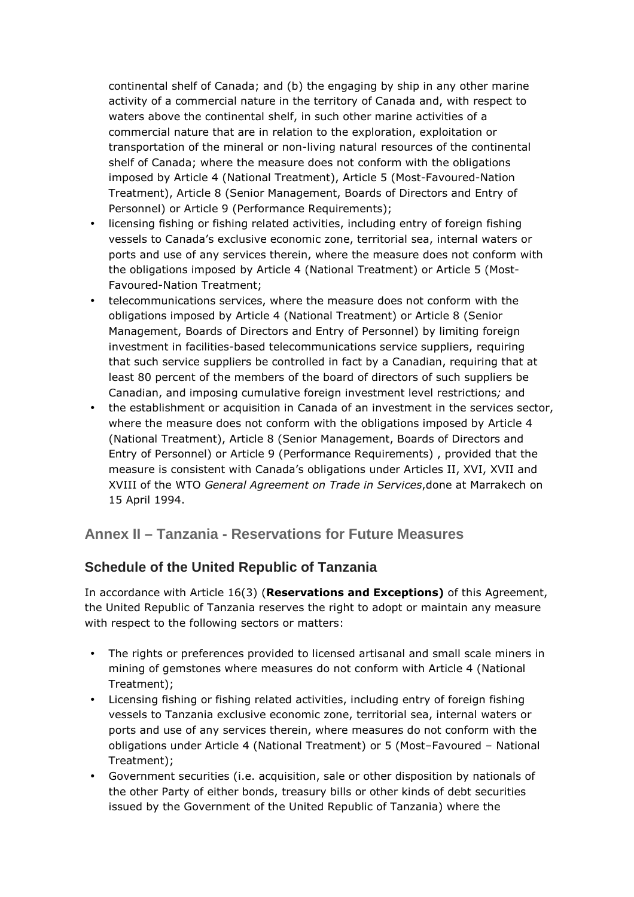continental shelf of Canada; and (b) the engaging by ship in any other marine activity of a commercial nature in the territory of Canada and, with respect to waters above the continental shelf, in such other marine activities of a commercial nature that are in relation to the exploration, exploitation or transportation of the mineral or non-living natural resources of the continental shelf of Canada; where the measure does not conform with the obligations imposed by Article 4 (National Treatment), Article 5 (Most-Favoured-Nation Treatment), Article 8 (Senior Management, Boards of Directors and Entry of Personnel) or Article 9 (Performance Requirements);

- licensing fishing or fishing related activities, including entry of foreign fishing vessels to Canada's exclusive economic zone, territorial sea, internal waters or ports and use of any services therein, where the measure does not conform with the obligations imposed by Article 4 (National Treatment) or Article 5 (Most-Favoured-Nation Treatment;
- telecommunications services, where the measure does not conform with the obligations imposed by Article 4 (National Treatment) or Article 8 (Senior Management, Boards of Directors and Entry of Personnel) by limiting foreign investment in facilities-based telecommunications service suppliers, requiring that such service suppliers be controlled in fact by a Canadian, requiring that at least 80 percent of the members of the board of directors of such suppliers be Canadian, and imposing cumulative foreign investment level restrictions*;* and
- the establishment or acquisition in Canada of an investment in the services sector, where the measure does not conform with the obligations imposed by Article 4 (National Treatment), Article 8 (Senior Management, Boards of Directors and Entry of Personnel) or Article 9 (Performance Requirements) , provided that the measure is consistent with Canada's obligations under Articles II, XVI, XVII and XVIII of the WTO *General Agreement on Trade in Services*,done at Marrakech on 15 April 1994.

### **Annex II – Tanzania - Reservations for Future Measures**

### **Schedule of the United Republic of Tanzania**

In accordance with Article 16(3) (**Reservations and Exceptions)** of this Agreement, the United Republic of Tanzania reserves the right to adopt or maintain any measure with respect to the following sectors or matters:

- The rights or preferences provided to licensed artisanal and small scale miners in mining of gemstones where measures do not conform with Article 4 (National Treatment);
- Licensing fishing or fishing related activities, including entry of foreign fishing vessels to Tanzania exclusive economic zone, territorial sea, internal waters or ports and use of any services therein, where measures do not conform with the obligations under Article 4 (National Treatment) or 5 (Most–Favoured – National Treatment);
- Government securities (i.e. acquisition, sale or other disposition by nationals of the other Party of either bonds, treasury bills or other kinds of debt securities issued by the Government of the United Republic of Tanzania) where the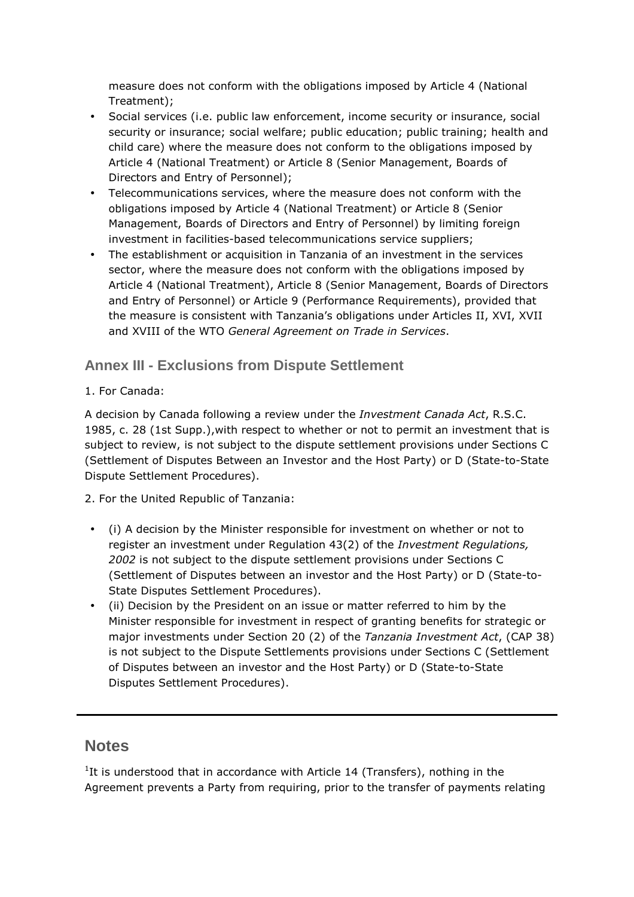measure does not conform with the obligations imposed by Article 4 (National Treatment);

- Social services (i.e. public law enforcement, income security or insurance, social security or insurance; social welfare; public education; public training; health and child care) where the measure does not conform to the obligations imposed by Article 4 (National Treatment) or Article 8 (Senior Management, Boards of Directors and Entry of Personnel);
- Telecommunications services, where the measure does not conform with the obligations imposed by Article 4 (National Treatment) or Article 8 (Senior Management, Boards of Directors and Entry of Personnel) by limiting foreign investment in facilities-based telecommunications service suppliers;
- The establishment or acquisition in Tanzania of an investment in the services sector, where the measure does not conform with the obligations imposed by Article 4 (National Treatment), Article 8 (Senior Management, Boards of Directors and Entry of Personnel) or Article 9 (Performance Requirements), provided that the measure is consistent with Tanzania's obligations under Articles II, XVI, XVII and XVIII of the WTO *General Agreement on Trade in Services*.

### **Annex III - Exclusions from Dispute Settlement**

#### 1. For Canada:

A decision by Canada following a review under the *Investment Canada Act*, R.S.C. 1985, c. 28 (1st Supp.),with respect to whether or not to permit an investment that is subject to review, is not subject to the dispute settlement provisions under Sections C (Settlement of Disputes Between an Investor and the Host Party) or D (State-to-State Dispute Settlement Procedures).

2. For the United Republic of Tanzania:

- (i) A decision by the Minister responsible for investment on whether or not to register an investment under Regulation 43(2) of the *Investment Regulations, 2002* is not subject to the dispute settlement provisions under Sections C (Settlement of Disputes between an investor and the Host Party) or D (State-to-State Disputes Settlement Procedures).
- (ii) Decision by the President on an issue or matter referred to him by the Minister responsible for investment in respect of granting benefits for strategic or major investments under Section 20 (2) of the *Tanzania Investment Act*, (CAP 38) is not subject to the Dispute Settlements provisions under Sections C (Settlement of Disputes between an investor and the Host Party) or D (State-to-State Disputes Settlement Procedures).

### **Notes**

<sup>1</sup>It is understood that in accordance with Article 14 (Transfers), nothing in the Agreement prevents a Party from requiring, prior to the transfer of payments relating